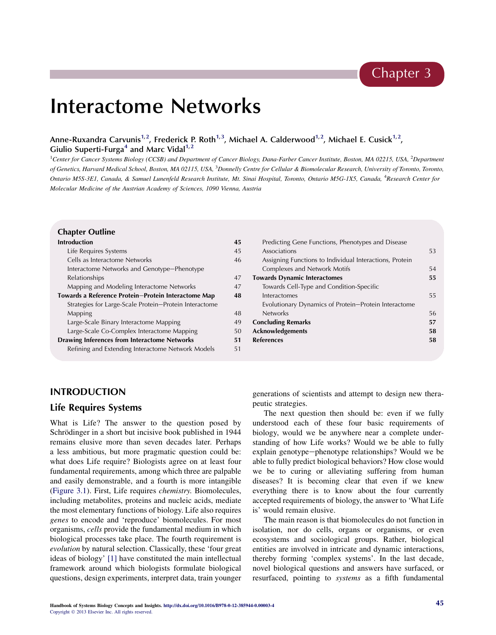# Interactome Networks

## Anne-Ruxandra Carvunis<sup>1,2</sup>, Frederick P. Roth<sup>1,3</sup>, Michael A. Calderwood<sup>1,2</sup>, Michael E. Cusick<sup>1,2</sup>, Giulio Superti-Furga<sup>4</sup> and Marc Vidal<sup>1,2</sup>

<sup>1</sup>Center for Cancer Systems Biology (CCSB) and Department of Cancer Biology, Dana-Farber Cancer Institute, Boston, MA 02215, USA, <sup>2</sup>Department of Genetics, Harvard Medical School, Boston, MA 02115, USA, <sup>3</sup>Donnelly Centre for Cellular & Biomolecular Research, University of Toronto, Toronto, Ontario M5S-3E1, Canada, & Samuel Lunenfeld Research Institute, Mt. Sinai Hospital, Toronto, Ontario M5G-1X5, Canada, <sup>4</sup>Research Center for Molecular Medicine of the Austrian Academy of Sciences, 1090 Vienna, Austria

#### Chapter Outline

| <b>Introduction</b>                                    | 45 |
|--------------------------------------------------------|----|
| Life Requires Systems                                  | 45 |
| Cells as Interactome Networks                          | 46 |
| Interactome Networks and Genotype-Phenotype            |    |
| Relationships                                          | 47 |
| Mapping and Modeling Interactome Networks              | 47 |
| Towards a Reference Protein-Protein Interactome Map    | 48 |
| Strategies for Large-Scale Protein-Protein Interactome |    |
| Mapping                                                | 48 |
| Large-Scale Binary Interactome Mapping                 | 49 |
| Large-Scale Co-Complex Interactome Mapping             | 50 |
| <b>Drawing Inferences from Interactome Networks</b>    | 51 |
| Refining and Extending Interactome Network Models      | 51 |
|                                                        |    |

| Associations<br>Assigning Functions to Individual Interactions, Protein<br>Complexes and Network Motifs | 53<br>54 |
|---------------------------------------------------------------------------------------------------------|----------|
|                                                                                                         |          |
|                                                                                                         |          |
|                                                                                                         |          |
| <b>Towards Dynamic Interactomes</b>                                                                     | 55       |
| Towards Cell-Type and Condition-Specific                                                                |          |
| Interactomes                                                                                            | 55       |
| Evolutionary Dynamics of Protein-Protein Interactome                                                    |          |
| <b>Networks</b>                                                                                         | 56       |
| <b>Concluding Remarks</b>                                                                               | 57       |
| <b>Acknowledgements</b>                                                                                 | 58       |
| <b>References</b>                                                                                       | 58       |

### INTRODUCTION

#### Life Requires Systems

What is Life? The answer to the question posed by Schrödinger in a short but incisive book published in 1944 remains elusive more than seven decades later. Perhaps a less ambitious, but more pragmatic question could be: what does Life require? Biologists agree on at least four fundamental requirements, among which three are palpable and easily demonstrable, and a fourth is more intangible [\(Figure 3.1](#page-1-0)). First, Life requires chemistry. Biomolecules, including metabolites, proteins and nucleic acids, mediate the most elementary functions of biology. Life also requires genes to encode and 'reproduce' biomolecules. For most organisms, cells provide the fundamental medium in which biological processes take place. The fourth requirement is evolution by natural selection. Classically, these 'four great ideas of biology' [\[1\]](#page-13-0) have constituted the main intellectual framework around which biologists formulate biological questions, design experiments, interpret data, train younger

generations of scientists and attempt to design new therapeutic strategies.

The next question then should be: even if we fully understood each of these four basic requirements of biology, would we be anywhere near a complete understanding of how Life works? Would we be able to fully explain genotype-phenotype relationships? Would we be able to fully predict biological behaviors? How close would we be to curing or alleviating suffering from human diseases? It is becoming clear that even if we knew everything there is to know about the four currently accepted requirements of biology, the answer to 'What Life is' would remain elusive.

The main reason is that biomolecules do not function in isolation, nor do cells, organs or organisms, or even ecosystems and sociological groups. Rather, biological entities are involved in intricate and dynamic interactions, thereby forming 'complex systems'. In the last decade, novel biological questions and answers have surfaced, or resurfaced, pointing to systems as a fifth fundamental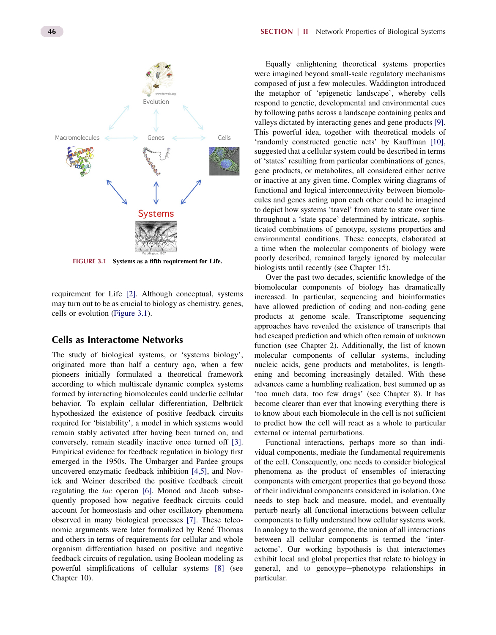<span id="page-1-0"></span>

FIGURE 3.1 Systems as a fifth requirement for Life.

requirement for Life [\[2\]](#page-13-0). Although conceptual, systems may turn out to be as crucial to biology as chemistry, genes, cells or evolution (Figure 3.1).

#### Cells as Interactome Networks

The study of biological systems, or 'systems biology', originated more than half a century ago, when a few pioneers initially formulated a theoretical framework according to which multiscale dynamic complex systems formed by interacting biomolecules could underlie cellular behavior. To explain cellular differentiation, Delbrück hypothesized the existence of positive feedback circuits required for 'bistability', a model in which systems would remain stably activated after having been turned on, and conversely, remain steadily inactive once turned off [\[3\].](#page-13-0) Empirical evidence for feedback regulation in biology first emerged in the 1950s. The Umbarger and Pardee groups uncovered enzymatic feedback inhibition [\[4,5\],](#page-13-0) and Novick and Weiner described the positive feedback circuit regulating the lac operon [\[6\]](#page-13-0). Monod and Jacob subsequently proposed how negative feedback circuits could account for homeostasis and other oscillatory phenomena observed in many biological processes [\[7\]](#page-13-0). These teleonomic arguments were later formalized by René Thomas and others in terms of requirements for cellular and whole organism differentiation based on positive and negative feedback circuits of regulation, using Boolean modeling as powerful simplifications of cellular systems [\[8\]](#page-13-0) (see Chapter 10).

Equally enlightening theoretical systems properties were imagined beyond small-scale regulatory mechanisms composed of just a few molecules. Waddington introduced the metaphor of 'epigenetic landscape', whereby cells respond to genetic, developmental and environmental cues by following paths across a landscape containing peaks and valleys dictated by interacting genes and gene products [\[9\].](#page-13-0) This powerful idea, together with theoretical models of 'randomly constructed genetic nets' by Kauffman [\[10\],](#page-13-0) suggested that a cellular system could be described in terms of 'states' resulting from particular combinations of genes, gene products, or metabolites, all considered either active or inactive at any given time. Complex wiring diagrams of functional and logical interconnectivity between biomolecules and genes acting upon each other could be imagined to depict how systems 'travel' from state to state over time throughout a 'state space' determined by intricate, sophisticated combinations of genotype, systems properties and environmental conditions. These concepts, elaborated at a time when the molecular components of biology were poorly described, remained largely ignored by molecular biologists until recently (see Chapter 15).

Over the past two decades, scientific knowledge of the biomolecular components of biology has dramatically increased. In particular, sequencing and bioinformatics have allowed prediction of coding and non-coding gene products at genome scale. Transcriptome sequencing approaches have revealed the existence of transcripts that had escaped prediction and which often remain of unknown function (see Chapter 2). Additionally, the list of known molecular components of cellular systems, including nucleic acids, gene products and metabolites, is lengthening and becoming increasingly detailed. With these advances came a humbling realization, best summed up as 'too much data, too few drugs' (see Chapter 8). It has become clearer than ever that knowing everything there is to know about each biomolecule in the cell is not sufficient to predict how the cell will react as a whole to particular external or internal perturbations.

Functional interactions, perhaps more so than individual components, mediate the fundamental requirements of the cell. Consequently, one needs to consider biological phenomena as the product of ensembles of interacting components with emergent properties that go beyond those of their individual components considered in isolation. One needs to step back and measure, model, and eventually perturb nearly all functional interactions between cellular components to fully understand how cellular systems work. In analogy to the word genome, the union of all interactions between all cellular components is termed the 'interactome'. Our working hypothesis is that interactomes exhibit local and global properties that relate to biology in general, and to genotype-phenotype relationships in particular.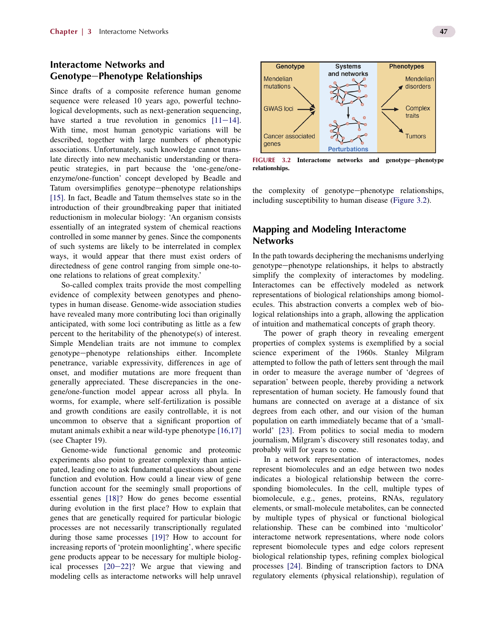# Interactome Networks and Genotype-Phenotype Relationships

Since drafts of a composite reference human genome sequence were released 10 years ago, powerful technological developments, such as next-generation sequencing, have started a true revolution in genomics  $[11-14]$  $[11-14]$  $[11-14]$ . With time, most human genotypic variations will be described, together with large numbers of phenotypic associations. Unfortunately, such knowledge cannot translate directly into new mechanistic understanding or therapeutic strategies, in part because the 'one-gene/oneenzyme/one-function' concept developed by Beadle and Tatum oversimplifies genotype-phenotype relationships [\[15\]](#page-13-0). In fact, Beadle and Tatum themselves state so in the introduction of their groundbreaking paper that initiated reductionism in molecular biology: 'An organism consists essentially of an integrated system of chemical reactions controlled in some manner by genes. Since the components of such systems are likely to be interrelated in complex ways, it would appear that there must exist orders of directedness of gene control ranging from simple one-toone relations to relations of great complexity.'

So-called complex traits provide the most compelling evidence of complexity between genotypes and phenotypes in human disease. Genome-wide association studies have revealed many more contributing loci than originally anticipated, with some loci contributing as little as a few percent to the heritability of the phenotype(s) of interest. Simple Mendelian traits are not immune to complex genotype-phenotype relationships either. Incomplete penetrance, variable expressivity, differences in age of onset, and modifier mutations are more frequent than generally appreciated. These discrepancies in the onegene/one-function model appear across all phyla. In worms, for example, where self-fertilization is possible and growth conditions are easily controllable, it is not uncommon to observe that a significant proportion of mutant animals exhibit a near wild-type phenotype [\[16,17\]](#page-13-0) (see Chapter 19).

Genome-wide functional genomic and proteomic experiments also point to greater complexity than anticipated, leading one to ask fundamental questions about gene function and evolution. How could a linear view of gene function account for the seemingly small proportions of essential genes [\[18\]](#page-13-0)? How do genes become essential during evolution in the first place? How to explain that genes that are genetically required for particular biologic processes are not necessarily transcriptionally regulated during those same processes [\[19\]](#page-13-0)? How to account for increasing reports of 'protein moonlighting', where specific gene products appear to be necessary for multiple biological processes  $[20-22]$  $[20-22]$  $[20-22]$ ? We argue that viewing and modeling cells as interactome networks will help unravel



FIGURE 3.2 Interactome networks and genotype-phenotype relationships. relationships.

the complexity of genotype-phenotype relationships, including susceptibility to human disease (Figure 3.2).

## Mapping and Modeling Interactome **Networks**

In the path towards deciphering the mechanisms underlying genotype-phenotype relationships, it helps to abstractly simplify the complexity of interactomes by modeling. Interactomes can be effectively modeled as network representations of biological relationships among biomolecules. This abstraction converts a complex web of biological relationships into a graph, allowing the application of intuition and mathematical concepts of graph theory.

The power of graph theory in revealing emergent properties of complex systems is exemplified by a social science experiment of the 1960s. Stanley Milgram attempted to follow the path of letters sent through the mail in order to measure the average number of 'degrees of separation' between people, thereby providing a network representation of human society. He famously found that humans are connected on average at a distance of six degrees from each other, and our vision of the human population on earth immediately became that of a 'smallworld' [\[23\].](#page-13-0) From politics to social media to modern journalism, Milgram's discovery still resonates today, and probably will for years to come.

In a network representation of interactomes, nodes represent biomolecules and an edge between two nodes indicates a biological relationship between the corresponding biomolecules. In the cell, multiple types of biomolecule, e.g., genes, proteins, RNAs, regulatory elements, or small-molecule metabolites, can be connected by multiple types of physical or functional biological relationship. These can be combined into 'multicolor' interactome network representations, where node colors represent biomolecule types and edge colors represent biological relationship types, refining complex biological processes [\[24\]](#page-13-0). Binding of transcription factors to DNA regulatory elements (physical relationship), regulation of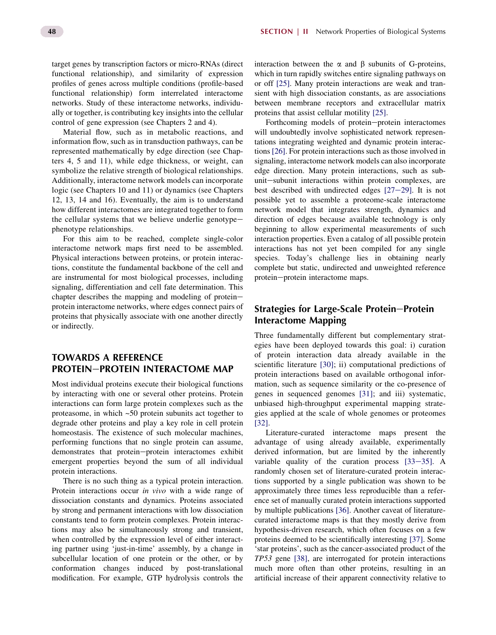target genes by transcription factors or micro-RNAs (direct functional relationship), and similarity of expression profiles of genes across multiple conditions (profile-based functional relationship) form interrelated interactome networks. Study of these interactome networks, individually or together, is contributing key insights into the cellular control of gene expression (see Chapters 2 and 4).

Material flow, such as in metabolic reactions, and information flow, such as in transduction pathways, can be represented mathematically by edge direction (see Chapters 4, 5 and 11), while edge thickness, or weight, can symbolize the relative strength of biological relationships. Additionally, interactome network models can incorporate logic (see Chapters 10 and 11) or dynamics (see Chapters 12, 13, 14 and 16). Eventually, the aim is to understand how different interactomes are integrated together to form the cellular systems that we believe underlie genotype $$ phenotype relationships.

For this aim to be reached, complete single-color interactome network maps first need to be assembled. Physical interactions between proteins, or protein interactions, constitute the fundamental backbone of the cell and are instrumental for most biological processes, including signaling, differentiation and cell fate determination. This chapter describes the mapping and modeling of proteinprotein interactome networks, where edges connect pairs of proteins that physically associate with one another directly or indirectly.

# TOWARDS A REFERENCE PROTEIN-PROTEIN INTERACTOME MAP

Most individual proteins execute their biological functions by interacting with one or several other proteins. Protein interactions can form large protein complexes such as the proteasome, in which ~50 protein subunits act together to degrade other proteins and play a key role in cell protein homeostasis. The existence of such molecular machines, performing functions that no single protein can assume, demonstrates that protein-protein interactomes exhibit emergent properties beyond the sum of all individual protein interactions.

There is no such thing as a typical protein interaction. Protein interactions occur in vivo with a wide range of dissociation constants and dynamics. Proteins associated by strong and permanent interactions with low dissociation constants tend to form protein complexes. Protein interactions may also be simultaneously strong and transient, when controlled by the expression level of either interacting partner using 'just-in-time' assembly, by a change in subcellular location of one protein or the other, or by conformation changes induced by post-translational modification. For example, GTP hydrolysis controls the

interaction between the  $\alpha$  and  $\beta$  subunits of G-proteins, which in turn rapidly switches entire signaling pathways on or off [\[25\].](#page-13-0) Many protein interactions are weak and transient with high dissociation constants, as are associations between membrane receptors and extracellular matrix proteins that assist cellular motility [\[25\].](#page-13-0)

Forthcoming models of protein-protein interactomes will undoubtedly involve sophisticated network representations integrating weighted and dynamic protein interactions [\[26\]](#page-14-0). For protein interactions such as those involved in signaling, interactome network models can also incorporate edge direction. Many protein interactions, such as subunit-subunit interactions within protein complexes, are best described with undirected edges  $[27-29]$  $[27-29]$  $[27-29]$ . It is not possible yet to assemble a proteome-scale interactome network model that integrates strength, dynamics and direction of edges because available technology is only beginning to allow experimental measurements of such interaction properties. Even a catalog of all possible protein interactions has not yet been compiled for any single species. Today's challenge lies in obtaining nearly complete but static, undirected and unweighted reference protein-protein interactome maps.

# Strategies for Large-Scale Protein-Protein Interactome Mapping

Three fundamentally different but complementary strategies have been deployed towards this goal: i) curation of protein interaction data already available in the scientific literature [\[30\];](#page-14-0) ii) computational predictions of protein interactions based on available orthogonal information, such as sequence similarity or the co-presence of genes in sequenced genomes [\[31\]](#page-14-0); and iii) systematic, unbiased high-throughput experimental mapping strategies applied at the scale of whole genomes or proteomes [\[32\].](#page-14-0)

Literature-curated interactome maps present the advantage of using already available, experimentally derived information, but are limited by the inherently variable quality of the curation process  $[33-35]$  $[33-35]$ . A randomly chosen set of literature-curated protein interactions supported by a single publication was shown to be approximately three times less reproducible than a reference set of manually curated protein interactions supported by multiple publications [\[36\]](#page-14-0). Another caveat of literaturecurated interactome maps is that they mostly derive from hypothesis-driven research, which often focuses on a few proteins deemed to be scientifically interesting [\[37\]](#page-14-0). Some 'star proteins', such as the cancer-associated product of the TP53 gene [\[38\],](#page-14-0) are interrogated for protein interactions much more often than other proteins, resulting in an artificial increase of their apparent connectivity relative to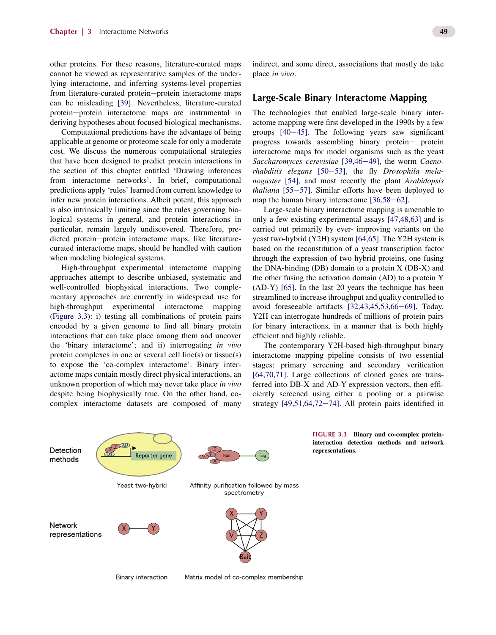<span id="page-4-0"></span>other proteins. For these reasons, literature-curated maps cannot be viewed as representative samples of the underlying interactome, and inferring systems-level properties from literature-curated protein-protein interactome maps can be misleading [\[39\].](#page-14-0) Nevertheless, literature-curated protein-protein interactome maps are instrumental in deriving hypotheses about focused biological mechanisms.

Computational predictions have the advantage of being applicable at genome or proteome scale for only a moderate cost. We discuss the numerous computational strategies that have been designed to predict protein interactions in the section of this chapter entitled 'Drawing inferences from interactome networks'. In brief, computational predictions apply 'rules' learned from current knowledge to infer new protein interactions. Albeit potent, this approach is also intrinsically limiting since the rules governing biological systems in general, and protein interactions in particular, remain largely undiscovered. Therefore, predicted protein-protein interactome maps, like literaturecurated interactome maps, should be handled with caution when modeling biological systems.

High-throughput experimental interactome mapping approaches attempt to describe unbiased, systematic and well-controlled biophysical interactions. Two complementary approaches are currently in widespread use for high-throughput experimental interactome mapping (Figure 3.3): i) testing all combinations of protein pairs encoded by a given genome to find all binary protein interactions that can take place among them and uncover the 'binary interactome'; and ii) interrogating in vivo protein complexes in one or several cell line(s) or tissue(s) to expose the 'co-complex interactome'. Binary interactome maps contain mostly direct physical interactions, an unknown proportion of which may never take place in vivo despite being biophysically true. On the other hand, cocomplex interactome datasets are composed of many

indirect, and some direct, associations that mostly do take place in vivo.

#### Large-Scale Binary Interactome Mapping

The technologies that enabled large-scale binary interactome mapping were first developed in the 1990s by a few groups  $[40-45]$  $[40-45]$ . The following years saw significant progress towards assembling binary protein- protein interactome maps for model organisms such as the yeast Saccharomyces cerevisiae [\[39,46](#page-14-0)-[49\]](#page-14-0), the worm Caeno $r$ habditis elegans  $[50-53]$  $[50-53]$ , the fly Drosophila mela-nogaster [\[54\]](#page-14-0), and most recently the plant Arabidopsis thaliana  $[55-57]$  $[55-57]$  $[55-57]$ . Similar efforts have been deployed to map the human binary interactome  $[36,58-62]$  $[36,58-62]$  $[36,58-62]$ .

Large-scale binary interactome mapping is amenable to only a few existing experimental assays [\[47,48,63\]](#page-14-0) and is carried out primarily by ever- improving variants on the yeast two-hybrid (Y2H) system [\[64,65\].](#page-14-0) The Y2H system is based on the reconstitution of a yeast transcription factor through the expression of two hybrid proteins, one fusing the DNA-binding  $(DB)$  domain to a protein  $X$   $(DB-X)$  and the other fusing the activation domain (AD) to a protein Y (AD-Y) [\[65\].](#page-14-0) In the last 20 years the technique has been streamlined to increase throughput and quality controlled to avoid foreseeable artifacts  $[32,43,45,53,66-69]$  $[32,43,45,53,66-69]$ . Today, Y2H can interrogate hundreds of millions of protein pairs for binary interactions, in a manner that is both highly efficient and highly reliable.

The contemporary Y2H-based high-throughput binary interactome mapping pipeline consists of two essential stages: primary screening and secondary verification [\[64,70,71\]](#page-14-0). Large collections of cloned genes are transferred into DB-X and AD-Y expression vectors, then efficiently screened using either a pooling or a pairwise strategy  $[49,51,64,72-74]$  $[49,51,64,72-74]$ . All protein pairs identified in



FIGURE 3.3 Binary and co-complex protein-<br>interaction detection methods and network interaction detection methods and network representations.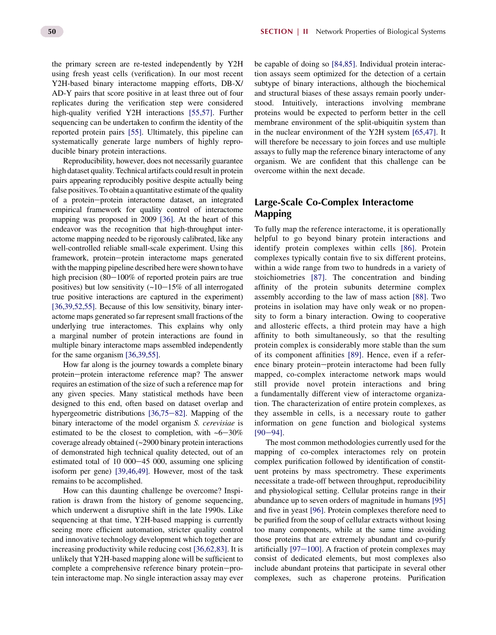the primary screen are re-tested independently by Y2H using fresh yeast cells (verification). In our most recent Y2H-based binary interactome mapping efforts, DB-X/ AD-Y pairs that score positive in at least three out of four replicates during the verification step were considered high-quality verified Y2H interactions [\[55,57\]](#page-14-0). Further sequencing can be undertaken to confirm the identity of the reported protein pairs [\[55\].](#page-14-0) Ultimately, this pipeline can systematically generate large numbers of highly reproducible binary protein interactions.

Reproducibility, however, does not necessarily guarantee high dataset quality. Technical artifacts could result in protein pairs appearing reproducibly positive despite actually being false positives. To obtain a quantitative estimate of the quality of a protein-protein interactome dataset, an integrated empirical framework for quality control of interactome mapping was proposed in 2009 [\[36\].](#page-14-0) At the heart of this endeavor was the recognition that high-throughput interactome mapping needed to be rigorously calibrated, like any well-controlled reliable small-scale experiment. Using this framework, protein-protein interactome maps generated with the mapping pipeline described here were shown to have high precision  $(80-100\%$  of reported protein pairs are true positives) but low sensitivity  $(-10-15\%$  of all interrogated true positive interactions are captured in the experiment) [\[36,39,52,55\].](#page-14-0) Because of this low sensitivity, binary interactome maps generated so far represent small fractions of the underlying true interactomes. This explains why only a marginal number of protein interactions are found in multiple binary interactome maps assembled independently for the same organism [\[36,39,55\].](#page-14-0)

How far along is the journey towards a complete binary protein-protein interactome reference map? The answer requires an estimation of the size of such a reference map for any given species. Many statistical methods have been designed to this end, often based on dataset overlap and hypergeometric distributions  $[36,75-82]$  $[36,75-82]$ . Mapping of the binary interactome of the model organism S. cerevisiae is estimated to be the closest to completion, with  $\sim 6-30\%$ coverage already obtained (~2900 binary protein interactions of demonstrated high technical quality detected, out of an estimated total of  $10\ 000-45\ 000$ , assuming one splicing isoform per gene) [\[39,46,49\].](#page-14-0) However, most of the task remains to be accomplished.

How can this daunting challenge be overcome? Inspiration is drawn from the history of genome sequencing, which underwent a disruptive shift in the late 1990s. Like sequencing at that time, Y2H-based mapping is currently seeing more efficient automation, stricter quality control and innovative technology development which together are increasing productivity while reducing cost [\[36,62,83\]](#page-14-0). It is unlikely that Y2H-based mapping alone will be sufficient to complete a comprehensive reference binary protein-protein interactome map. No single interaction assay may ever be capable of doing so [\[84,85\].](#page-15-0) Individual protein interaction assays seem optimized for the detection of a certain subtype of binary interactions, although the biochemical and structural biases of these assays remain poorly understood. Intuitively, interactions involving membrane proteins would be expected to perform better in the cell membrane environment of the split-ubiquitin system than in the nuclear environment of the Y2H system [\[65,47\]](#page-14-0). It will therefore be necessary to join forces and use multiple assays to fully map the reference binary interactome of any organism. We are confident that this challenge can be overcome within the next decade.

# Large-Scale Co-Complex Interactome Mapping

To fully map the reference interactome, it is operationally helpful to go beyond binary protein interactions and identify protein complexes within cells [\[86\].](#page-15-0) Protein complexes typically contain five to six different proteins, within a wide range from two to hundreds in a variety of stoichiometries [\[87\].](#page-15-0) The concentration and binding affinity of the protein subunits determine complex assembly according to the law of mass action [\[88\]](#page-15-0). Two proteins in isolation may have only weak or no propensity to form a binary interaction. Owing to cooperative and allosteric effects, a third protein may have a high affinity to both simultaneously, so that the resulting protein complex is considerably more stable than the sum of its component affinities [\[89\].](#page-15-0) Hence, even if a reference binary protein-protein interactome had been fully mapped, co-complex interactome network maps would still provide novel protein interactions and bring a fundamentally different view of interactome organization. The characterization of entire protein complexes, as they assemble in cells, is a necessary route to gather information on gene function and biological systems  $[90-94]$  $[90-94]$ .

The most common methodologies currently used for the mapping of co-complex interactomes rely on protein complex purification followed by identification of constituent proteins by mass spectrometry. These experiments necessitate a trade-off between throughput, reproducibility and physiological setting. Cellular proteins range in their abundance up to seven orders of magnitude in humans [\[95\]](#page-15-0) and five in yeast [\[96\]](#page-15-0). Protein complexes therefore need to be purified from the soup of cellular extracts without losing too many components, while at the same time avoiding those proteins that are extremely abundant and co-purify artificially  $[97-100]$  $[97-100]$  $[97-100]$ . A fraction of protein complexes may consist of dedicated elements, but most complexes also include abundant proteins that participate in several other complexes, such as chaperone proteins. Purification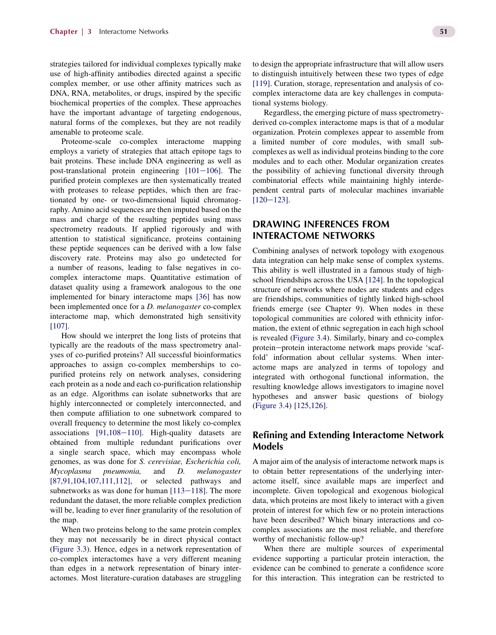strategies tailored for individual complexes typically make use of high-affinity antibodies directed against a specific complex member, or use other affinity matrices such as DNA, RNA, metabolites, or drugs, inspired by the specific biochemical properties of the complex. These approaches have the important advantage of targeting endogenous, natural forms of the complexes, but they are not readily amenable to proteome scale.

Proteome-scale co-complex interactome mapping employs a variety of strategies that attach epitope tags to bait proteins. These include DNA engineering as well as post-translational protein engineering  $[101-106]$  $[101-106]$ . The purified protein complexes are then systematically treated with proteases to release peptides, which then are fractionated by one- or two-dimensional liquid chromatography. Amino acid sequences are then imputed based on the mass and charge of the resulting peptides using mass spectrometry readouts. If applied rigorously and with attention to statistical significance, proteins containing these peptide sequences can be derived with a low false discovery rate. Proteins may also go undetected for a number of reasons, leading to false negatives in cocomplex interactome maps. Quantitative estimation of dataset quality using a framework analogous to the one implemented for binary interactome maps [\[36\]](#page-14-0) has now been implemented once for a D. melanogaster co-complex interactome map, which demonstrated high sensitivity [\[107\]](#page-15-0).

How should we interpret the long lists of proteins that typically are the readouts of the mass spectrometry analyses of co-purified proteins? All successful bioinformatics approaches to assign co-complex memberships to copurified proteins rely on network analyses, considering each protein as a node and each co-purification relationship as an edge. Algorithms can isolate subnetworks that are highly interconnected or completely interconnected, and then compute affiliation to one subnetwork compared to overall frequency to determine the most likely co-complex associations  $[91,108-110]$  $[91,108-110]$  $[91,108-110]$ . High-quality datasets are obtained from multiple redundant purifications over a single search space, which may encompass whole genomes, as was done for S. cerevisiae, Escherichia coli, Mycoplasma pneumonia, and D. melanogaster [\[87,91,104,107,111,112\],](#page-15-0) or selected pathways and subnetworks as was done for human  $[113-118]$  $[113-118]$ . The more redundant the dataset, the more reliable complex prediction will be, leading to ever finer granularity of the resolution of the map.

When two proteins belong to the same protein complex they may not necessarily be in direct physical contact [\(Figure 3.3](#page-4-0)). Hence, edges in a network representation of co-complex interactomes have a very different meaning than edges in a network representation of binary interactomes. Most literature-curation databases are struggling

to design the appropriate infrastructure that will allow users to distinguish intuitively between these two types of edge [\[119\]](#page-16-0). Curation, storage, representation and analysis of cocomplex interactome data are key challenges in computational systems biology.

Regardless, the emerging picture of mass spectrometryderived co-complex interactome maps is that of a modular organization. Protein complexes appear to assemble from a limited number of core modules, with small subcomplexes as well as individual proteins binding to the core modules and to each other. Modular organization creates the possibility of achieving functional diversity through combinatorial effects while maintaining highly interdependent central parts of molecular machines invariable  $[120 - 123]$  $[120 - 123]$ .

## DRAWING INFERENCES FROM INTERACTOME NETWORKS

Combining analyses of network topology with exogenous data integration can help make sense of complex systems. This ability is well illustrated in a famous study of highschool friendships across the USA [\[124\].](#page-16-0) In the topological structure of networks where nodes are students and edges are friendships, communities of tightly linked high-school friends emerge (see Chapter 9). When nodes in these topological communities are colored with ethnicity information, the extent of ethnic segregation in each high school is revealed ([Figure 3.4](#page-7-0)). Similarly, binary and co-complex protein-protein interactome network maps provide 'scaffold' information about cellular systems. When interactome maps are analyzed in terms of topology and integrated with orthogonal functional information, the resulting knowledge allows investigators to imagine novel hypotheses and answer basic questions of biology [\(Figure 3.4\)](#page-7-0) [\[125,126\]](#page-16-0).

## Refining and Extending Interactome Network Models

A major aim of the analysis of interactome network maps is to obtain better representations of the underlying interactome itself, since available maps are imperfect and incomplete. Given topological and exogenous biological data, which proteins are most likely to interact with a given protein of interest for which few or no protein interactions have been described? Which binary interactions and cocomplex associations are the most reliable, and therefore worthy of mechanistic follow-up?

When there are multiple sources of experimental evidence supporting a particular protein interaction, the evidence can be combined to generate a confidence score for this interaction. This integration can be restricted to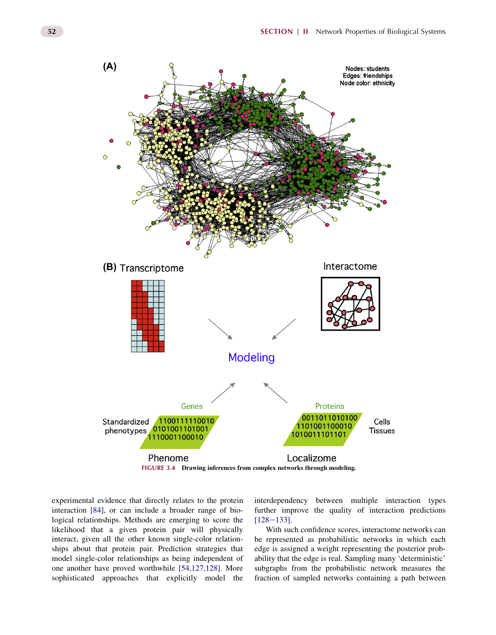<span id="page-7-0"></span>

experimental evidence that directly relates to the protein interaction [\[84\]](#page-15-0), or can include a broader range of biological relationships. Methods are emerging to score the likelihood that a given protein pair will physically interact, given all the other known single-color relationships about that protein pair. Prediction strategies that model single-color relationships as being independent of one another have proved worthwhile [\[54,127,128\]](#page-14-0). More sophisticated approaches that explicitly model the

interdependency between multiple interaction types further improve the quality of interaction predictions  $[128 - 133]$  $[128 - 133]$  $[128 - 133]$ .

With such confidence scores, interactome networks can be represented as probabilistic networks in which each edge is assigned a weight representing the posterior probability that the edge is real. Sampling many 'deterministic' subgraphs from the probabilistic network measures the fraction of sampled networks containing a path between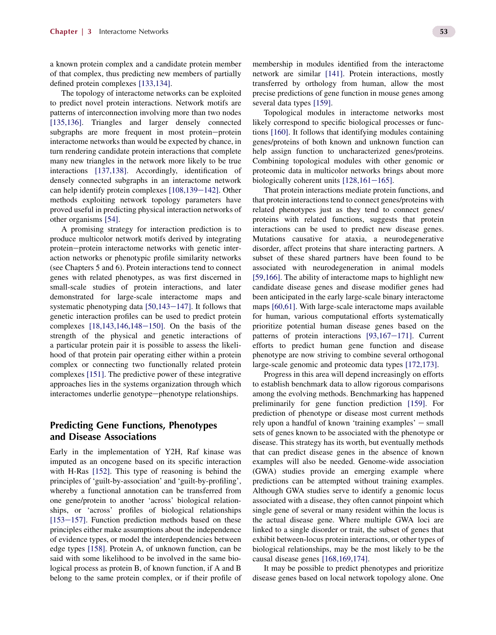a known protein complex and a candidate protein member of that complex, thus predicting new members of partially defined protein complexes [\[133,134\]](#page-16-0).

The topology of interactome networks can be exploited to predict novel protein interactions. Network motifs are patterns of interconnection involving more than two nodes [\[135,136\].](#page-16-0) Triangles and larger densely connected subgraphs are more frequent in most protein-protein interactome networks than would be expected by chance, in turn rendering candidate protein interactions that complete many new triangles in the network more likely to be true interactions [\[137,138\]](#page-16-0). Accordingly, identification of densely connected subgraphs in an interactome network can help identify protein complexes  $[108, 139 - 142]$ . Other methods exploiting network topology parameters have proved useful in predicting physical interaction networks of other organisms [\[54\].](#page-14-0)

A promising strategy for interaction prediction is to produce multicolor network motifs derived by integrating protein-protein interactome networks with genetic interaction networks or phenotypic profile similarity networks (see Chapters 5 and 6). Protein interactions tend to connect genes with related phenotypes, as was first discerned in small-scale studies of protein interactions, and later demonstrated for large-scale interactome maps and systematic phenotyping data  $[50,143-147]$  $[50,143-147]$ . It follows that genetic interaction profiles can be used to predict protein complexes  $[18, 143, 146, 148 - 150]$ . On the basis of the strength of the physical and genetic interactions of a particular protein pair it is possible to assess the likelihood of that protein pair operating either within a protein complex or connecting two functionally related protein complexes [\[151\].](#page-16-0) The predictive power of these integrative approaches lies in the systems organization through which interactomes underlie genotype-phenotype relationships.

## Predicting Gene Functions, Phenotypes and Disease Associations

Early in the implementation of Y2H, Raf kinase was imputed as an oncogene based on its specific interaction with H-Ras [\[152\].](#page-16-0) This type of reasoning is behind the principles of 'guilt-by-association' and 'guilt-by-profiling', whereby a functional annotation can be transferred from one gene/protein to another 'across' biological relationships, or 'across' profiles of biological relationships  $[153-157]$  $[153-157]$ . Function prediction methods based on these principles either make assumptions about the independence of evidence types, or model the interdependencies between edge types [\[158\].](#page-17-0) Protein A, of unknown function, can be said with some likelihood to be involved in the same biological process as protein B, of known function, if A and B belong to the same protein complex, or if their profile of membership in modules identified from the interactome network are similar [\[141\]](#page-16-0). Protein interactions, mostly transferred by orthology from human, allow the most precise predictions of gene function in mouse genes among several data types [\[159\]](#page-17-0).

Topological modules in interactome networks most likely correspond to specific biological processes or functions [\[160\].](#page-17-0) It follows that identifying modules containing genes/proteins of both known and unknown function can help assign function to uncharacterized genes/proteins. Combining topological modules with other genomic or proteomic data in multicolor networks brings about more biologically coherent units  $[128, 161-165]$  $[128, 161-165]$ .

That protein interactions mediate protein functions, and that protein interactions tend to connect genes/proteins with related phenotypes just as they tend to connect genes/ proteins with related functions, suggests that protein interactions can be used to predict new disease genes. Mutations causative for ataxia, a neurodegenerative disorder, affect proteins that share interacting partners. A subset of these shared partners have been found to be associated with neurodegeneration in animal models [\[59,166\].](#page-14-0) The ability of interactome maps to highlight new candidate disease genes and disease modifier genes had been anticipated in the early large-scale binary interactome maps [\[60,61\].](#page-17-0) With large-scale interactome maps available for human, various computational efforts systematically prioritize potential human disease genes based on the patterns of protein interactions  $[93,167-171]$  $[93,167-171]$ . Current efforts to predict human gene function and disease phenotype are now striving to combine several orthogonal large-scale genomic and proteomic data types [\[172,173\].](#page-17-0)

Progress in this area will depend increasingly on efforts to establish benchmark data to allow rigorous comparisons among the evolving methods. Benchmarking has happened preliminarily for gene function prediction [\[159\].](#page-17-0) For prediction of phenotype or disease most current methods rely upon a handful of known 'training examples'  $-$  small sets of genes known to be associated with the phenotype or disease. This strategy has its worth, but eventually methods that can predict disease genes in the absence of known examples will also be needed. Genome-wide association (GWA) studies provide an emerging example where predictions can be attempted without training examples. Although GWA studies serve to identify a genomic locus associated with a disease, they often cannot pinpoint which single gene of several or many resident within the locus is the actual disease gene. Where multiple GWA loci are linked to a single disorder or trait, the subset of genes that exhibit between-locus protein interactions, or other types of biological relationships, may be the most likely to be the causal disease genes [\[168,169,174\].](#page-17-0)

It may be possible to predict phenotypes and prioritize disease genes based on local network topology alone. One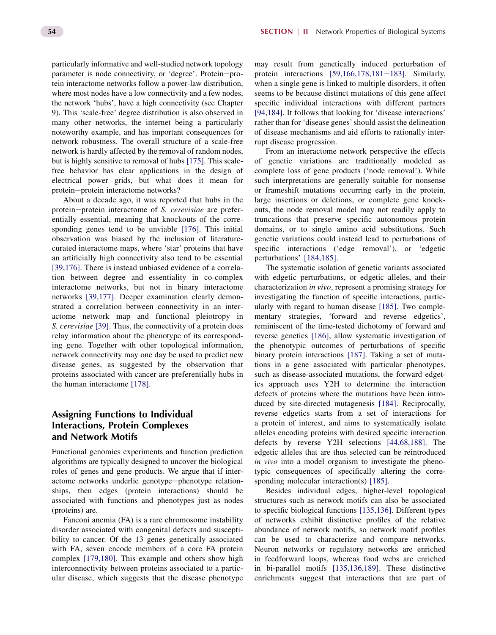particularly informative and well-studied network topology parameter is node connectivity, or 'degree'. Protein-protein interactome networks follow a power-law distribution, where most nodes have a low connectivity and a few nodes, the network 'hubs', have a high connectivity (see Chapter 9). This 'scale-free' degree distribution is also observed in many other networks, the internet being a particularly noteworthy example, and has important consequences for network robustness. The overall structure of a scale-free network is hardly affected by the removal of random nodes, but is highly sensitive to removal of hubs [\[175\].](#page-17-0) This scalefree behavior has clear applications in the design of electrical power grids, but what does it mean for protein-protein interactome networks?

About a decade ago, it was reported that hubs in the protein-protein interactome of S. cerevisiae are preferentially essential, meaning that knockouts of the corresponding genes tend to be unviable [\[176\].](#page-17-0) This initial observation was biased by the inclusion of literaturecurated interactome maps, where 'star' proteins that have an artificially high connectivity also tend to be essential [\[39,176\].](#page-14-0) There is instead unbiased evidence of a correlation between degree and essentiality in co-complex interactome networks, but not in binary interactome networks [\[39,177\].](#page-14-0) Deeper examination clearly demonstrated a correlation between connectivity in an interactome network map and functional pleiotropy in S. cerevisiae [\[39\].](#page-14-0) Thus, the connectivity of a protein does relay information about the phenotype of its corresponding gene. Together with other topological information, network connectivity may one day be used to predict new disease genes, as suggested by the observation that proteins associated with cancer are preferentially hubs in the human interactome [\[178\].](#page-17-0)

# Assigning Functions to Individual Interactions, Protein Complexes and Network Motifs

Functional genomics experiments and function prediction algorithms are typically designed to uncover the biological roles of genes and gene products. We argue that if interactome networks underlie genotype-phenotype relationships, then edges (protein interactions) should be associated with functions and phenotypes just as nodes (proteins) are.

Fanconi anemia (FA) is a rare chromosome instability disorder associated with congenital defects and susceptibility to cancer. Of the 13 genes genetically associated with FA, seven encode members of a core FA protein complex [\[179,180\].](#page-17-0) This example and others show high interconnectivity between proteins associated to a particular disease, which suggests that the disease phenotype may result from genetically induced perturbation of protein interactions  $[59,166,178,181-183]$  $[59,166,178,181-183]$ . Similarly, when a single gene is linked to multiple disorders, it often seems to be because distinct mutations of this gene affect specific individual interactions with different partners [\[94,184\].](#page-15-0) It follows that looking for 'disease interactions' rather than for 'disease genes' should assist the delineation of disease mechanisms and aid efforts to rationally interrupt disease progression.

From an interactome network perspective the effects of genetic variations are traditionally modeled as complete loss of gene products ('node removal'). While such interpretations are generally suitable for nonsense or frameshift mutations occurring early in the protein, large insertions or deletions, or complete gene knockouts, the node removal model may not readily apply to truncations that preserve specific autonomous protein domains, or to single amino acid substitutions. Such genetic variations could instead lead to perturbations of specific interactions ('edge removal'), or 'edgetic perturbations' [\[184,185\]](#page-17-0).

The systematic isolation of genetic variants associated with edgetic perturbations, or edgetic alleles, and their characterization in vivo, represent a promising strategy for investigating the function of specific interactions, particularly with regard to human disease [\[185\].](#page-17-0) Two complementary strategies, 'forward and reverse edgetics', reminiscent of the time-tested dichotomy of forward and reverse genetics [\[186\]](#page-17-0), allow systematic investigation of the phenotypic outcomes of perturbations of specific binary protein interactions [\[187\].](#page-17-0) Taking a set of mutations in a gene associated with particular phenotypes, such as disease-associated mutations, the forward edgetics approach uses Y2H to determine the interaction defects of proteins where the mutations have been introduced by site-directed mutagenesis [\[184\]](#page-17-0). Reciprocally, reverse edgetics starts from a set of interactions for a protein of interest, and aims to systematically isolate alleles encoding proteins with desired specific interaction defects by reverse Y2H selections [\[44,68,188\].](#page-14-0) The edgetic alleles that are thus selected can be reintroduced in vivo into a model organism to investigate the phenotypic consequences of specifically altering the corre-sponding molecular interaction(s) [\[185\]](#page-17-0).

Besides individual edges, higher-level topological structures such as network motifs can also be associated to specific biological functions [\[135,136\]](#page-16-0). Different types of networks exhibit distinctive profiles of the relative abundance of network motifs, so network motif profiles can be used to characterize and compare networks. Neuron networks or regulatory networks are enriched in feedforward loops, whereas food webs are enriched in bi-parallel motifs [\[135,136,189\].](#page-16-0) These distinctive enrichments suggest that interactions that are part of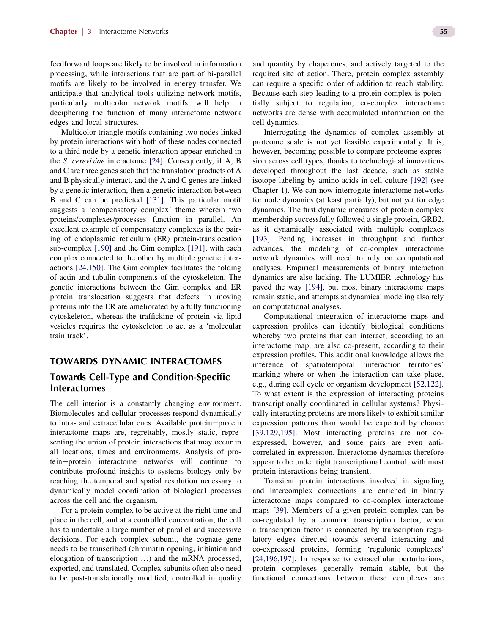feedforward loops are likely to be involved in information processing, while interactions that are part of bi-parallel motifs are likely to be involved in energy transfer. We anticipate that analytical tools utilizing network motifs, particularly multicolor network motifs, will help in deciphering the function of many interactome network edges and local structures.

Multicolor triangle motifs containing two nodes linked by protein interactions with both of these nodes connected to a third node by a genetic interaction appear enriched in the S. cerevisiae interactome [\[24\].](#page-13-0) Consequently, if A, B and C are three genes such that the translation products of A and B physically interact, and the A and C genes are linked by a genetic interaction, then a genetic interaction between B and C can be predicted [\[131\]](#page-16-0). This particular motif suggests a 'compensatory complex' theme wherein two proteins/complexes/processes function in parallel. An excellent example of compensatory complexes is the pairing of endoplasmic reticulum (ER) protein-translocation sub-complex [\[190\]](#page-17-0) and the Gim complex [\[191\]](#page-17-0), with each complex connected to the other by multiple genetic interactions [\[24,150\].](#page-13-0) The Gim complex facilitates the folding of actin and tubulin components of the cytoskeleton. The genetic interactions between the Gim complex and ER protein translocation suggests that defects in moving proteins into the ER are ameliorated by a fully functioning cytoskeleton, whereas the trafficking of protein via lipid vesicles requires the cytoskeleton to act as a 'molecular train track'.

# TOWARDS DYNAMIC INTERACTOMES Towards Cell-Type and Condition-Specific Interactomes

The cell interior is a constantly changing environment. Biomolecules and cellular processes respond dynamically to intra- and extracellular cues. Available protein-protein interactome maps are, regrettably, mostly static, representing the union of protein interactions that may occur in all locations, times and environments. Analysis of protein-protein interactome networks will continue to contribute profound insights to systems biology only by reaching the temporal and spatial resolution necessary to dynamically model coordination of biological processes across the cell and the organism.

For a protein complex to be active at the right time and place in the cell, and at a controlled concentration, the cell has to undertake a large number of parallel and successive decisions. For each complex subunit, the cognate gene needs to be transcribed (chromatin opening, initiation and elongation of transcription  $\dots$ ) and the mRNA processed, exported, and translated. Complex subunits often also need to be post-translationally modified, controlled in quality

and quantity by chaperones, and actively targeted to the required site of action. There, protein complex assembly can require a specific order of addition to reach stability. Because each step leading to a protein complex is potentially subject to regulation, co-complex interactome networks are dense with accumulated information on the cell dynamics.

Interrogating the dynamics of complex assembly at proteome scale is not yet feasible experimentally. It is, however, becoming possible to compare proteome expression across cell types, thanks to technological innovations developed throughout the last decade, such as stable isotope labeling by amino acids in cell culture [\[192\]](#page-17-0) (see Chapter 1). We can now interrogate interactome networks for node dynamics (at least partially), but not yet for edge dynamics. The first dynamic measures of protein complex membership successfully followed a single protein, GRB2, as it dynamically associated with multiple complexes [\[193\]](#page-17-0). Pending increases in throughput and further advances, the modeling of co-complex interactome network dynamics will need to rely on computational analyses. Empirical measurements of binary interaction dynamics are also lacking. The LUMIER technology has paved the way [\[194\]](#page-17-0), but most binary interactome maps remain static, and attempts at dynamical modeling also rely on computational analyses.

Computational integration of interactome maps and expression profiles can identify biological conditions whereby two proteins that can interact, according to an interactome map, are also co-present, according to their expression profiles. This additional knowledge allows the inference of spatiotemporal 'interaction territories' marking where or when the interaction can take place, e.g., during cell cycle or organism development [\[52,122\]](#page-14-0). To what extent is the expression of interacting proteins transcriptionally coordinated in cellular systems? Physically interacting proteins are more likely to exhibit similar expression patterns than would be expected by chance [\[39,129,195\]](#page-14-0). Most interacting proteins are not coexpressed, however, and some pairs are even anticorrelated in expression. Interactome dynamics therefore appear to be under tight transcriptional control, with most protein interactions being transient.

Transient protein interactions involved in signaling and intercomplex connections are enriched in binary interactome maps compared to co-complex interactome maps [\[39\].](#page-14-0) Members of a given protein complex can be co-regulated by a common transcription factor, when a transcription factor is connected by transcription regulatory edges directed towards several interacting and co-expressed proteins, forming 'regulonic complexes' [\[24,196,197\]](#page-13-0). In response to extracellular perturbations, protein complexes generally remain stable, but the functional connections between these complexes are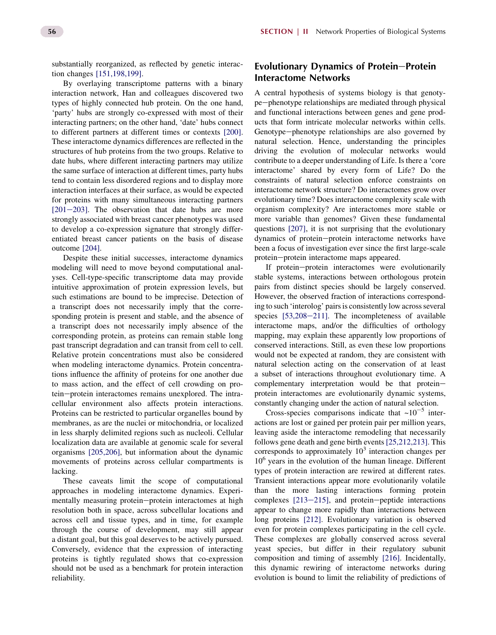substantially reorganized, as reflected by genetic interaction changes [\[151,198,199\].](#page-16-0)

By overlaying transcriptome patterns with a binary interaction network, Han and colleagues discovered two types of highly connected hub protein. On the one hand, 'party' hubs are strongly co-expressed with most of their interacting partners; on the other hand, 'date' hubs connect to different partners at different times or contexts [\[200\].](#page-18-0) These interactome dynamics differences are reflected in the structures of hub proteins from the two groups. Relative to date hubs, where different interacting partners may utilize the same surface of interaction at different times, party hubs tend to contain less disordered regions and to display more interaction interfaces at their surface, as would be expected for proteins with many simultaneous interacting partners  $[201-203]$  $[201-203]$  $[201-203]$ . The observation that date hubs are more strongly associated with breast cancer phenotypes was used to develop a co-expression signature that strongly differentiated breast cancer patients on the basis of disease outcome [\[204\]](#page-18-0).

Despite these initial successes, interactome dynamics modeling will need to move beyond computational analyses. Cell-type-specific transcriptome data may provide intuitive approximation of protein expression levels, but such estimations are bound to be imprecise. Detection of a transcript does not necessarily imply that the corresponding protein is present and stable, and the absence of a transcript does not necessarily imply absence of the corresponding protein, as proteins can remain stable long past transcript degradation and can transit from cell to cell. Relative protein concentrations must also be considered when modeling interactome dynamics. Protein concentrations influence the affinity of proteins for one another due to mass action, and the effect of cell crowding on protein-protein interactomes remains unexplored. The intracellular environment also affects protein interactions. Proteins can be restricted to particular organelles bound by membranes, as are the nuclei or mitochondria, or localized in less sharply delimited regions such as nucleoli. Cellular localization data are available at genomic scale for several organisms [\[205,206\]](#page-18-0), but information about the dynamic movements of proteins across cellular compartments is lacking.

These caveats limit the scope of computational approaches in modeling interactome dynamics. Experimentally measuring protein-protein interactomes at high resolution both in space, across subcellular locations and across cell and tissue types, and in time, for example through the course of development, may still appear a distant goal, but this goal deserves to be actively pursued. Conversely, evidence that the expression of interacting proteins is tightly regulated shows that co-expression should not be used as a benchmark for protein interaction reliability.

# Evolutionary Dynamics of Protein–Protein Interactome Networks

A central hypothesis of systems biology is that genotype-phenotype relationships are mediated through physical and functional interactions between genes and gene products that form intricate molecular networks within cells. Genotype-phenotype relationships are also governed by natural selection. Hence, understanding the principles driving the evolution of molecular networks would contribute to a deeper understanding of Life. Is there a 'core interactome' shared by every form of Life? Do the constraints of natural selection enforce constraints on interactome network structure? Do interactomes grow over evolutionary time? Does interactome complexity scale with organism complexity? Are interactomes more stable or more variable than genomes? Given these fundamental questions [\[207\]](#page-18-0), it is not surprising that the evolutionary dynamics of protein-protein interactome networks have been a focus of investigation ever since the first large-scale protein-protein interactome maps appeared.

If protein-protein interactomes were evolutionarily stable systems, interactions between orthologous protein pairs from distinct species should be largely conserved. However, the observed fraction of interactions corresponding to such 'interolog' pairs is consistently low across several species  $[53,208-211]$  $[53,208-211]$  $[53,208-211]$ . The incompleteness of available interactome maps, and/or the difficulties of orthology mapping, may explain these apparently low proportions of conserved interactions. Still, as even these low proportions would not be expected at random, they are consistent with natural selection acting on the conservation of at least a subset of interactions throughout evolutionary time. A  $complementary$  interpretation would be that proteinprotein interactomes are evolutionarily dynamic systems, constantly changing under the action of natural selection.

Cross-species comparisons indicate that  $\sim 10^{-5}$  interactions are lost or gained per protein pair per million years, leaving aside the interactome remodeling that necessarily follows gene death and gene birth events [\[25,212,213\].](#page-13-0) This corresponds to approximately  $10<sup>3</sup>$  interaction changes per  $10<sup>6</sup>$  years in the evolution of the human lineage. Different types of protein interaction are rewired at different rates. Transient interactions appear more evolutionarily volatile than the more lasting interactions forming protein complexes  $[213-215]$  $[213-215]$ , and protein-peptide interactions appear to change more rapidly than interactions between long proteins [\[212\]](#page-18-0). Evolutionary variation is observed even for protein complexes participating in the cell cycle. These complexes are globally conserved across several yeast species, but differ in their regulatory subunit composition and timing of assembly [\[216\].](#page-18-0) Incidentally, this dynamic rewiring of interactome networks during evolution is bound to limit the reliability of predictions of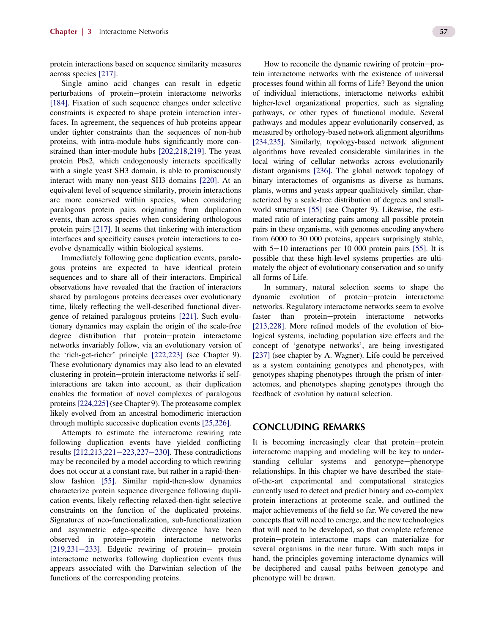protein interactions based on sequence similarity measures across species [\[217\]](#page-18-0).

Single amino acid changes can result in edgetic perturbations of protein-protein interactome networks [\[184\]](#page-17-0). Fixation of such sequence changes under selective constraints is expected to shape protein interaction interfaces. In agreement, the sequences of hub proteins appear under tighter constraints than the sequences of non-hub proteins, with intra-module hubs significantly more constrained than inter-module hubs [\[202,218,219\]](#page-18-0). The yeast protein Pbs2, which endogenously interacts specifically with a single yeast SH3 domain, is able to promiscuously interact with many non-yeast SH3 domains [\[220\].](#page-18-0) At an equivalent level of sequence similarity, protein interactions are more conserved within species, when considering paralogous protein pairs originating from duplication events, than across species when considering orthologous protein pairs [\[217\].](#page-18-0) It seems that tinkering with interaction interfaces and specificity causes protein interactions to coevolve dynamically within biological systems.

Immediately following gene duplication events, paralogous proteins are expected to have identical protein sequences and to share all of their interactors. Empirical observations have revealed that the fraction of interactors shared by paralogous proteins decreases over evolutionary time, likely reflecting the well-described functional divergence of retained paralogous proteins [\[221\]](#page-18-0). Such evolutionary dynamics may explain the origin of the scale-free degree distribution that protein-protein interactome networks invariably follow, via an evolutionary version of the 'rich-get-richer' principle [\[222,223\]](#page-18-0) (see Chapter 9). These evolutionary dynamics may also lead to an elevated clustering in protein-protein interactome networks if selfinteractions are taken into account, as their duplication enables the formation of novel complexes of paralogous proteins[\[224,225\]](#page-18-0) (see Chapter 9). The proteasome complex likely evolved from an ancestral homodimeric interaction through multiple successive duplication events [\[25,226\]](#page-13-0).

Attempts to estimate the interactome rewiring rate following duplication events have yielded conflicting results  $[212, 213, 221 - 223, 227 - 230]$  $[212, 213, 221 - 223, 227 - 230]$ . These contradictions may be reconciled by a model according to which rewiring does not occur at a constant rate, but rather in a rapid-thenslow fashion [\[55\].](#page-14-0) Similar rapid-then-slow dynamics characterize protein sequence divergence following duplication events, likely reflecting relaxed-then-tight selective constraints on the function of the duplicated proteins. Signatures of neo-functionalization, sub-functionalization and asymmetric edge-specific divergence have been observed in protein-protein interactome networks  $[219,231-233]$  $[219,231-233]$  $[219,231-233]$ . Edgetic rewiring of protein- protein interactome networks following duplication events thus appears associated with the Darwinian selection of the functions of the corresponding proteins.

How to reconcile the dynamic rewiring of protein-protein interactome networks with the existence of universal processes found within all forms of Life? Beyond the union of individual interactions, interactome networks exhibit higher-level organizational properties, such as signaling pathways, or other types of functional module. Several pathways and modules appear evolutionarily conserved, as measured by orthology-based network alignment algorithms [\[234,235\]](#page-18-0). Similarly, topology-based network alignment algorithms have revealed considerable similarities in the local wiring of cellular networks across evolutionarily distant organisms [\[236\]](#page-18-0). The global network topology of binary interactomes of organisms as diverse as humans, plants, worms and yeasts appear qualitatively similar, characterized by a scale-free distribution of degrees and smallworld structures [\[55\]](#page-14-0) (see Chapter 9). Likewise, the estimated ratio of interacting pairs among all possible protein pairs in these organisms, with genomes encoding anywhere from 6000 to 30 000 proteins, appears surprisingly stable, with  $5-10$  interactions per 10 000 protein pairs [\[55\].](#page-14-0) It is possible that these high-level systems properties are ultimately the object of evolutionary conservation and so unify all forms of Life.

In summary, natural selection seems to shape the dynamic evolution of protein-protein interactome networks. Regulatory interactome networks seem to evolve faster than protein-protein interactome networks [\[213,228\].](#page-18-0) More refined models of the evolution of biological systems, including population size effects and the concept of 'genotype networks', are being investigated [\[237\]](#page-18-0) (see chapter by A. Wagner). Life could be perceived as a system containing genotypes and phenotypes, with genotypes shaping phenotypes through the prism of interactomes, and phenotypes shaping genotypes through the feedback of evolution by natural selection.

#### CONCLUDING REMARKS

It is becoming increasingly clear that protein-protein interactome mapping and modeling will be key to understanding cellular systems and genotype-phenotype relationships. In this chapter we have described the stateof-the-art experimental and computational strategies currently used to detect and predict binary and co-complex protein interactions at proteome scale, and outlined the major achievements of the field so far. We covered the new concepts that will need to emerge, and the new technologies that will need to be developed, so that complete reference protein-protein interactome maps can materialize for several organisms in the near future. With such maps in hand, the principles governing interactome dynamics will be deciphered and causal paths between genotype and phenotype will be drawn.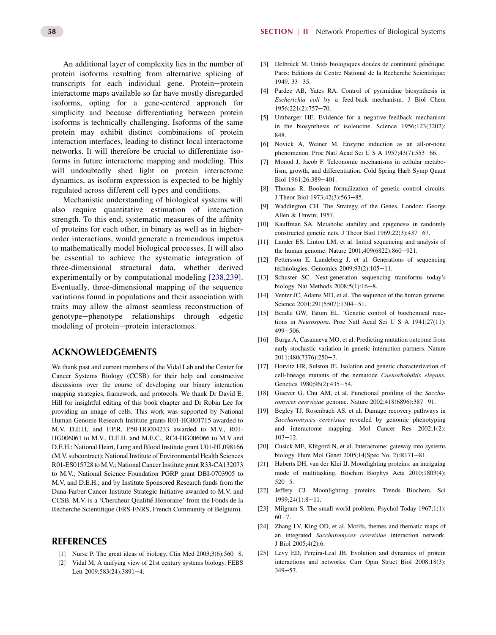<span id="page-13-0"></span>An additional layer of complexity lies in the number of protein isoforms resulting from alternative splicing of transcripts for each individual gene. Protein-protein interactome maps available so far have mostly disregarded isoforms, opting for a gene-centered approach for simplicity and because differentiating between protein isoforms is technically challenging. Isoforms of the same protein may exhibit distinct combinations of protein interaction interfaces, leading to distinct local interactome networks. It will therefore be crucial to differentiate isoforms in future interactome mapping and modeling. This will undoubtedly shed light on protein interactome dynamics, as isoform expression is expected to be highly regulated across different cell types and conditions.

Mechanistic understanding of biological systems will also require quantitative estimation of interaction strength. To this end, systematic measures of the affinity of proteins for each other, in binary as well as in higherorder interactions, would generate a tremendous impetus to mathematically model biological processes. It will also be essential to achieve the systematic integration of three-dimensional structural data, whether derived experimentally or by computational modeling [\[238,239\].](#page-18-0) Eventually, three-dimensional mapping of the sequence variations found in populations and their association with traits may allow the almost seamless reconstruction of genotype-phenotype relationships through edgetic modeling of protein-protein interactomes.

#### ACKNOWLEDGEMENTS

We thank past and current members of the Vidal Lab and the Center for Cancer Systems Biology (CCSB) for their help and constructive discussions over the course of developing our binary interaction mapping strategies, framework, and protocols. We thank Dr David E. Hill for insightful editing of this book chapter and Dr Robin Lee for providing an image of cells. This work was supported by National Human Genome Research Institute grants R01-HG001715 awarded to M.V. D.E.H, and F.P.R, P50-HG004233 awarded to M.V., R01- HG006061 to M.V., D.E.H. and M.E.C., RC4-HG006066 to M.V and D.E.H.; National Heart, Lung and Blood Institute grant U01-HL098166 (M.V. subcontract); National Institute of Environmental Health Sciences R01-ES015728 to M.V.; National Cancer Institute grant R33-CA132073 to M.V.; National Science Foundation PGRP grant DBI-0703905 to M.V. and D.E.H.; and by Institute Sponsored Research funds from the Dana-Farber Cancer Institute Strategic Initiative awarded to M.V. and CCSB. M.V. is a 'Chercheur Qualifie´ Honoraire' from the Fonds de la Recherche Scientifique (FRS-FNRS, French Community of Belgium).

#### REFERENCES

- [1] Nurse P. The great ideas of biology. Clin Med  $2003;3(6):560-8$ .
- [2] Vidal M. A unifying view of 21st century systems biology. FEBS Lett 2009;583(24):3891-4.
- [3] Delbrück M. Unités biologiques douées de continuité génétique. Paris: Editions du Centre National de la Recherche Scientifique;  $1949.33 - 35.$
- [4] Pardee AB, Yates RA. Control of pyrimidine biosynthesis in Escherichia coli by a feed-back mechanism. J Biol Chem 1956;221(2):757-70.
- [5] Umbarger HE. Evidence for a negative-feedback mechanism in the biosynthesis of isoleucine. Science 1956;123(3202): 848.
- [6] Novick A, Weiner M. Enzyme induction as an all-or-none phenomenon. Proc Natl Acad Sci U S A  $1957;43(7):553-66$ .
- [7] Monod J, Jacob F. Teleonomic mechanisms in cellular metabolism, growth, and differentiation. Cold Spring Harb Symp Quant Biol 1961;26:389-401.
- [8] Thomas R. Boolean formalization of genetic control circuits. J Theor Biol 1973;42(3):563-85.
- [9] Waddington CH. The Strategy of the Genes. London: George Allen & Unwin; 1957.
- [10] Kauffman SA. Metabolic stability and epigenesis in randomly constructed genetic nets. J Theor Biol  $1969;22(3):437-67$ .
- [11] Lander ES, Linton LM, et al. Initial sequencing and analysis of the human genome. Nature 2001;409(6822):860-921.
- [12] Pettersson E, Lundeberg J, et al. Generations of sequencing technologies. Genomics  $2009;93(2):105-11$ .
- [13] Schuster SC. Next-generation sequencing transforms today's biology. Nat Methods  $2008;5(1):16-8$ .
- [14] Venter JC, Adams MD, et al. The sequence of the human genome. Science 2001;291(5507):1304-51.
- [15] Beadle GW, Tatum EL. 'Genetic control of biochemical reactions in Neurospora. Proc Natl Acad Sci U S A 1941;27(11): 499-506.
- [16] Burga A, Casanueva MO, et al. Predicting mutation outcome from early stochastic variation in genetic interaction partners. Nature 2011;480(7376):250-3.
- [17] Horvitz HR, Sulston JE. Isolation and genetic characterization of cell-lineage mutants of the nematode Caenorhabditis elegans. Genetics 1980;96(2):435-54.
- [18] Giaever G, Chu AM, et al. Functional profiling of the Saccharomyces cerevisiae genome. Nature 2002;418(6896):387-91.
- [19] Begley TJ, Rosenbach AS, et al. Damage recovery pathways in Saccharomyces cerevisiae revealed by genomic phenotyping and interactome mapping. Mol Cancer Res 2002;1(2):  $103 - 12$ .
- [20] Cusick ME, Klitgord N, et al. Interactome: gateway into systems biology. Hum Mol Genet  $2005;14$ (Spec No. 2): $R171-81$ .
- [21] Huberts DH, van der Klei IJ. Moonlighting proteins: an intriguing mode of multitasking. Biochim Biophys Acta 2010;1803(4):  $520 - 5.$
- [22] Jeffery CJ. Moonlighting proteins. Trends Biochem. Sci  $1999;24(1):8-11.$
- [23] Milgram S. The small world problem. Psychol Today 1967;1(1):  $60 - 7$ .
- [24] Zhang LV, King OD, et al. Motifs, themes and thematic maps of an integrated Saccharomyces cerevisiae interaction network. J Biol 2005;4(2):6.
- [25] Levy ED, Pereira-Leal JB. Evolution and dynamics of protein interactions and networks. Curr Opin Struct Biol 2008;18(3):  $349 - 57$ .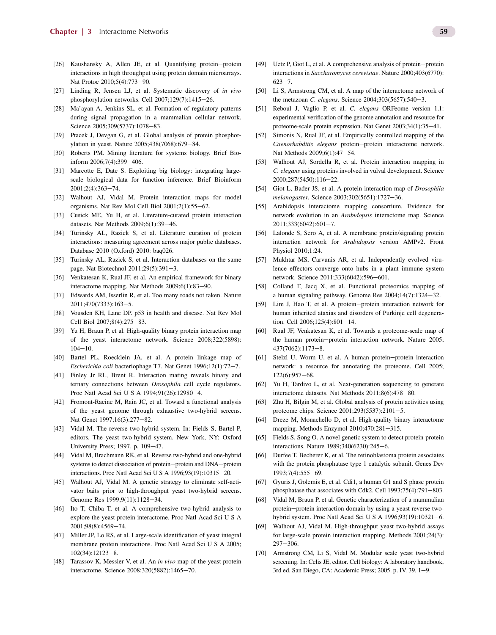- <span id="page-14-0"></span>[26] Kaushansky A, Allen JE, et al. Quantifying protein-protein interactions in high throughput using protein domain microarrays. Nat Protoc 2010;5(4):773-90.
- [27] Linding R, Jensen LJ, et al. Systematic discovery of in vivo phosphorylation networks. Cell  $2007;129(7):1415-26$ .
- [28] Ma'ayan A, Jenkins SL, et al. Formation of regulatory patterns during signal propagation in a mammalian cellular network. Science 2005;309(5737):1078-83.
- [29] Ptacek J, Devgan G, et al. Global analysis of protein phosphorylation in yeast. Nature 2005;438(7068):679-84.
- [30] Roberts PM. Mining literature for systems biology. Brief Bioinform 2006;7(4):399-406.
- [31] Marcotte E, Date S. Exploiting big biology: integrating largescale biological data for function inference. Brief Bioinform 2001;2(4):363-74.
- [32] Walhout AJ, Vidal M. Protein interaction maps for model organisms. Nat Rev Mol Cell Biol 2001;2(1):55-62.
- [33] Cusick ME, Yu H, et al. Literature-curated protein interaction datasets. Nat Methods  $2009;6(1):39-46$ .
- [34] Turinsky AL, Razick S, et al. Literature curation of protein interactions: measuring agreement across major public databases. Database 2010 (Oxford) 2010: baq026.
- [35] Turinsky AL, Razick S, et al. Interaction databases on the same page. Nat Biotechnol 2011;29(5):391-3.
- [36] Venkatesan K, Rual JF, et al. An empirical framework for binary interactome mapping. Nat Methods  $2009;6(1):83-90$ .
- [37] Edwards AM, Isserlin R, et al. Too many roads not taken. Nature 2011;470(7333):163-5.
- [38] Vousden KH, Lane DP. p53 in health and disease. Nat Rev Mol Cell Biol 2007;8(4):275-83.
- [39] Yu H, Braun P, et al. High-quality binary protein interaction map of the yeast interactome network. Science 2008;322(5898):  $104 - 10$ .
- [40] Bartel PL, Roecklein JA, et al. A protein linkage map of Escherichia coli bacteriophage T7. Nat Genet  $1996;12(1):72-7$ .
- [41] Finley Jr RL, Brent R. Interaction mating reveals binary and ternary connections between Drosophila cell cycle regulators. Proc Natl Acad Sci U S A 1994;91(26):12980-4.
- [42] Fromont-Racine M, Rain JC, et al. Toward a functional analysis of the yeast genome through exhaustive two-hybrid screens. Nat Genet 1997;16(3):277-82.
- [43] Vidal M. The reverse two-hybrid system. In: Fields S, Bartel P, editors. The yeast two-hybrid system. New York, NY: Oxford University Press; 1997. p. 109-47.
- [44] Vidal M, Brachmann RK, et al. Reverse two-hybrid and one-hybrid systems to detect dissociation of protein-protein and DNA-protein interactions. Proc Natl Acad Sci U S A 1996;93(19):10315-20.
- [45] Walhout AJ, Vidal M. A genetic strategy to eliminate self-activator baits prior to high-throughput yeast two-hybrid screens. Genome Res 1999;9(11):1128-34.
- [46] Ito T, Chiba T, et al. A comprehensive two-hybrid analysis to explore the yeast protein interactome. Proc Natl Acad Sci U S A 2001;98(8):4569-74.
- [47] Miller JP, Lo RS, et al. Large-scale identification of yeast integral membrane protein interactions. Proc Natl Acad Sci U S A 2005;  $102(34):12123-8.$
- [48] Tarassov K, Messier V, et al. An in vivo map of the yeast protein interactome. Science 2008;320(5882):1465-70.
- [49] Uetz P, Giot L, et al. A comprehensive analysis of protein-protein interactions in Saccharomyces cerevisiae. Nature 2000;403(6770):  $623 - 7.$
- [50] Li S, Armstrong CM, et al. A map of the interactome network of the metazoan *C. elegans*. Science  $2004;303(5657):540-3$ .
- [51] Reboul J, Vaglio P, et al. C. elegans ORFeome version 1.1: experimental verification of the genome annotation and resource for proteome-scale protein expression. Nat Genet 2003;34(1):35-41.
- [52] Simonis N, Rual JF, et al. Empirically controlled mapping of the Caenorhabditis elegans protein-protein interactome network. Nat Methods  $2009:6(1):47-54$ .
- [53] Walhout AJ, Sordella R, et al. Protein interaction mapping in C. elegans using proteins involved in vulval development. Science 2000:287(5450):116-22.
- [54] Giot L, Bader JS, et al. A protein interaction map of *Drosophila* melanogaster. Science 2003;302(5651):1727-36.
- [55] Arabidopsis interactome mapping consortium. Evidence for network evolution in an Arabidopsis interactome map. Science 2011;333(6042):601e7.
- [56] Lalonde S, Sero A, et al. A membrane protein/signaling protein interaction network for Arabidopsis version AMPv2. Front Physiol 2010;1:24.
- [57] Mukhtar MS, Carvunis AR, et al. Independently evolved virulence effectors converge onto hubs in a plant immune system network. Science 2011;333(6042):596-601.
- [58] Colland F, Jacq X, et al. Functional proteomics mapping of a human signaling pathway. Genome Res  $2004;14(7):1324-32$ .
- [59] Lim J, Hao T, et al. A protein-protein interaction network for human inherited ataxias and disorders of Purkinje cell degeneration. Cell  $2006;125(4):801-14$ .
- [60] Rual JF, Venkatesan K, et al. Towards a proteome-scale map of the human protein-protein interaction network. Nature 2005; 437(7062):1173-8.
- [61] Stelzl U, Worm U, et al. A human protein-protein interaction network: a resource for annotating the proteome. Cell 2005;  $122(6):957-68.$
- [62] Yu H, Tardivo L, et al. Next-generation sequencing to generate interactome datasets. Nat Methods  $2011;8(6):478-80$ .
- [63] Zhu H, Bilgin M, et al. Global analysis of protein activities using proteome chips. Science 2001;293(5537):2101-5.
- [64] Dreze M, Monachello D, et al. High-quality binary interactome mapping. Methods Enzymol 2010;470:281-315.
- [65] Fields S, Song O. A novel genetic system to detect protein-protein interactions. Nature 1989;340(6230):245-6.
- [66] Durfee T, Becherer K, et al. The retinoblastoma protein associates with the protein phosphatase type 1 catalytic subunit. Genes Dev 1993;7(4):555-69.
- [67] Gyuris J, Golemis E, et al. Cdi1, a human G1 and S phase protein phosphatase that associates with Cdk2. Cell 1993;75(4):791-803.
- [68] Vidal M, Braun P, et al. Genetic characterization of a mammalian protein-protein interaction domain by using a yeast reverse twohybrid system. Proc Natl Acad Sci U S A 1996;93(19):10321-6.
- [69] Walhout AJ, Vidal M. High-throughput yeast two-hybrid assays for large-scale protein interaction mapping. Methods 2001;24(3):  $297 - 306$ .
- [70] Armstrong CM, Li S, Vidal M. Modular scale yeast two-hybrid screening. In: Celis JE, editor. Cell biology: A laboratory handbook, 3rd ed. San Diego, CA: Academic Press; 2005. p. IV. 39. 1-9.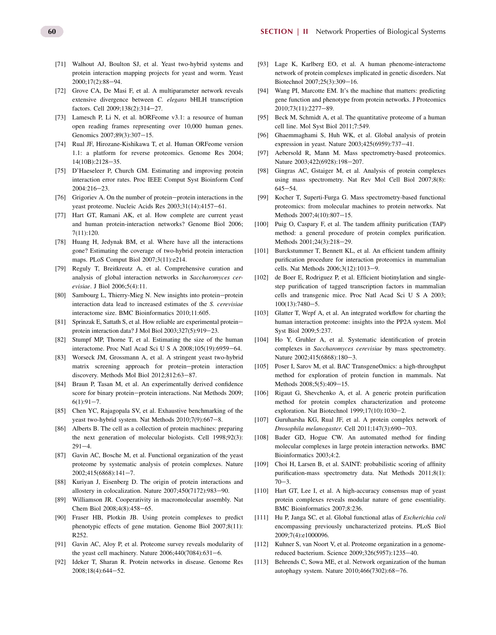- <span id="page-15-0"></span>[71] Walhout AJ, Boulton SJ, et al. Yeast two-hybrid systems and protein interaction mapping projects for yeast and worm. Yeast 2000;17(2):88-94.
- [72] Grove CA, De Masi F, et al. A multiparameter network reveals extensive divergence between C. elegans bHLH transcription factors. Cell 2009;138(2):314-27.
- [73] Lamesch P, Li N, et al. hORFeome v3.1: a resource of human open reading frames representing over 10,000 human genes. Genomics 2007;89(3):307-15.
- [74] Rual JF, Hirozane-Kishikawa T, et al. Human ORFeome version 1.1: a platform for reverse proteomics. Genome Res 2004;  $14(10B):2128-35.$
- [75] D'Haeseleer P, Church GM. Estimating and improving protein interaction error rates. Proc IEEE Comput Syst Bioinform Conf  $2004:216 - 23$ .
- [76] Grigoriev A. On the number of protein-protein interactions in the yeast proteome. Nucleic Acids Res 2003;31(14):4157-61.
- [77] Hart GT, Ramani AK, et al. How complete are current yeast and human protein-interaction networks? Genome Biol 2006; 7(11):120.
- [78] Huang H, Jedynak BM, et al. Where have all the interactions gone? Estimating the coverage of two-hybrid protein interaction maps. PLoS Comput Biol 2007;3(11):e214.
- [79] Reguly T, Breitkreutz A, et al. Comprehensive curation and analysis of global interaction networks in Saccharomyces cerevisiae. J Biol 2006;5(4):11.
- [80] Sambourg L, Thierry-Mieg N. New insights into protein-protein interaction data lead to increased estimates of the S. cerevisiae interactome size. BMC Bioinformatics 2010;11:605.
- [81] Sprinzak E, Sattath S, et al. How reliable are experimental proteinprotein interaction data? J Mol Biol  $2003;327(5):919-23$ .
- [82] Stumpf MP, Thorne T, et al. Estimating the size of the human interactome. Proc Natl Acad Sci U S A 2008;105(19):6959-64.
- [83] Worseck JM, Grossmann A, et al. A stringent yeast two-hybrid matrix screening approach for protein-protein interaction discovery. Methods Mol Biol 2012;812:63-87.
- [84] Braun P, Tasan M, et al. An experimentally derived confidence score for binary protein-protein interactions. Nat Methods 2009;  $6(1):91-7.$
- [85] Chen YC, Rajagopala SV, et al. Exhaustive benchmarking of the yeast two-hybrid system. Nat Methods  $2010;7(9):667-8$ .
- [86] Alberts B. The cell as a collection of protein machines: preparing the next generation of molecular biologists. Cell 1998;92(3):  $291 - 4.$
- [87] Gavin AC, Bosche M, et al. Functional organization of the yeast proteome by systematic analysis of protein complexes. Nature 2002;415(6868):141-7.
- [88] Kuriyan J, Eisenberg D. The origin of protein interactions and allostery in colocalization. Nature  $2007;450(7172):983-90$ .
- [89] Williamson JR. Cooperativity in macromolecular assembly. Nat Chem Biol 2008;4(8):458-65.
- [90] Fraser HB, Plotkin JB. Using protein complexes to predict phenotypic effects of gene mutation. Genome Biol 2007;8(11): R252.
- [91] Gavin AC, Aloy P, et al. Proteome survey reveals modularity of the yeast cell machinery. Nature  $2006;440(7084):631-6$ .
- [92] Ideker T, Sharan R. Protein networks in disease. Genome Res 2008;18(4):644-52.
- [93] Lage K, Karlberg EO, et al. A human phenome-interactome network of protein complexes implicated in genetic disorders. Nat Biotechnol 2007;25(3):309-16.
- [94] Wang PI, Marcotte EM. It's the machine that matters: predicting gene function and phenotype from protein networks. J Proteomics  $2010:73(11):2277-89.$
- [95] Beck M, Schmidt A, et al. The quantitative proteome of a human cell line. Mol Syst Biol 2011;7:549.
- [96] Ghaemmaghami S, Huh WK, et al. Global analysis of protein expression in yeast. Nature  $2003;425(6959):737-41$ .
- [97] Aebersold R, Mann M. Mass spectrometry-based proteomics. Nature 2003;422(6928):198-207.
- [98] Gingras AC, Gstaiger M, et al. Analysis of protein complexes using mass spectrometry. Nat Rev Mol Cell Biol 2007;8(8):  $645 - 54.$
- [99] Kocher T, Superti-Furga G. Mass spectrometry-based functional proteomics: from molecular machines to protein networks. Nat Methods 2007;4(10):807-15.
- [100] Puig O, Caspary F, et al. The tandem affinity purification (TAP) method: a general procedure of protein complex purification. Methods 2001;24(3):218-29.
- [101] Burckstummer T, Bennett KL, et al. An efficient tandem affinity purification procedure for interaction proteomics in mammalian cells. Nat Methods 2006;3(12):1013-9.
- [102] de Boer E, Rodriguez P, et al. Efficient biotinylation and singlestep purification of tagged transcription factors in mammalian cells and transgenic mice. Proc Natl Acad Sci U S A 2003;  $100(13):7480-5.$
- [103] Glatter T, Wepf A, et al. An integrated workflow for charting the human interaction proteome: insights into the PP2A system. Mol Syst Biol 2009;5:237.
- [104] Ho Y, Gruhler A, et al. Systematic identification of protein complexes in Saccharomyces cerevisiae by mass spectrometry. Nature 2002;415(6868):180-3.
- [105] Poser I, Sarov M, et al. BAC TransgeneOmics: a high-throughput method for exploration of protein function in mammals. Nat Methods 2008;5(5):409-15.
- [106] Rigaut G, Shevchenko A, et al. A generic protein purification method for protein complex characterization and proteome exploration. Nat Biotechnol  $1999;17(10):1030-2$ .
- [107] Guruharsha KG, Rual JF, et al. A protein complex network of Drosophila melanogaster. Cell 2011;147(3):690-703.
- [108] Bader GD, Hogue CW. An automated method for finding molecular complexes in large protein interaction networks. BMC Bioinformatics 2003;4:2.
- [109] Choi H, Larsen B, et al. SAINT: probabilistic scoring of affinity purification-mass spectrometry data. Nat Methods 2011;8(1):  $70 - 3$ .
- [110] Hart GT, Lee I, et al. A high-accuracy consensus map of yeast protein complexes reveals modular nature of gene essentiality. BMC Bioinformatics 2007;8:236.
- [111] Hu P, Janga SC, et al. Global functional atlas of *Escherichia coli* encompassing previously uncharacterized proteins. PLoS Biol 2009;7(4):e1000096.
- [112] Kuhner S, van Noort V, et al. Proteome organization in a genomereduced bacterium. Science 2009;326(5957):1235-40.
- [113] Behrends C, Sowa ME, et al. Network organization of the human autophagy system. Nature  $2010;466(7302):68-76$ .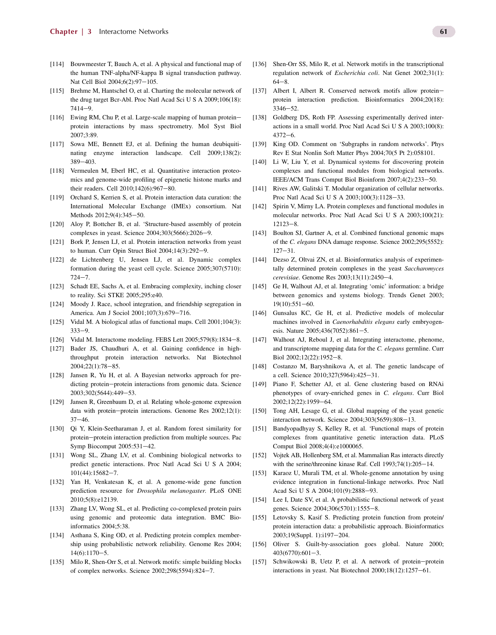- <span id="page-16-0"></span>[114] Bouwmeester T, Bauch A, et al. A physical and functional map of the human TNF-alpha/NF-kappa B signal transduction pathway. Nat Cell Biol 2004;6(2):97-105.
- [115] Brehme M, Hantschel O, et al. Charting the molecular network of the drug target Bcr-Abl. Proc Natl Acad Sci U S A 2009;106(18):  $7414 - 9$
- [116] Ewing RM, Chu P, et al. Large-scale mapping of human proteinprotein interactions by mass spectrometry. Mol Syst Biol 2007;3:89.
- [117] Sowa ME, Bennett EJ, et al. Defining the human deubiquitinating enzyme interaction landscape. Cell 2009;138(2):  $389 - 403$ .
- [118] Vermeulen M, Eberl HC, et al. Quantitative interaction proteomics and genome-wide profiling of epigenetic histone marks and their readers. Cell 2010;142(6):967-80.
- [119] Orchard S, Kerrien S, et al. Protein interaction data curation: the International Molecular Exchange (IMEx) consortium. Nat Methods 2012;9(4):345-50.
- [120] Aloy P, Bottcher B, et al. 'Structure-based assembly of protein complexes in yeast. Science 2004;303(5666):2026-9.
- [121] Bork P, Jensen LJ, et al. Protein interaction networks from yeast to human. Curr Opin Struct Biol 2004;14(3):292-9.
- [122] de Lichtenberg U, Jensen LJ, et al. Dynamic complex formation during the yeast cell cycle. Science 2005;307(5710):  $724 - 7.$
- [123] Schadt EE, Sachs A, et al. Embracing complexity, inching closer to reality. Sci STKE 2005;295:e40.
- [124] Moody J. Race, school integration, and friendship segregation in America. Am J Sociol 2001;107(3):679-716.
- [125] Vidal M. A biological atlas of functional maps. Cell 2001;104(3):  $333 - 9$ .
- [126] Vidal M. Interactome modeling. FEBS Lett  $2005;579(8):1834-8$ .
- [127] Bader JS, Chaudhuri A, et al. Gaining confidence in highthroughput protein interaction networks. Nat Biotechnol 2004;22(1):78-85.
- [128] Jansen R, Yu H, et al. A Bayesian networks approach for predicting protein-protein interactions from genomic data. Science 2003;302(5644):449-53.
- [129] Jansen R, Greenbaum D, et al. Relating whole-genome expression data with protein-protein interactions. Genome Res 2002;12(1):  $37 - 46$ .
- [130] Qi Y, Klein-Seetharaman J, et al. Random forest similarity for protein-protein interaction prediction from multiple sources. Pac Symp Biocomput 2005:531-42.
- [131] Wong SL, Zhang LV, et al. Combining biological networks to predict genetic interactions. Proc Natl Acad Sci U S A 2004; 101(44):15682-7.
- [132] Yan H, Venkatesan K, et al. A genome-wide gene function prediction resource for Drosophila melanogaster. PLoS ONE 2010;5(8):e12139.
- [133] Zhang LV, Wong SL, et al. Predicting co-complexed protein pairs using genomic and proteomic data integration. BMC Bioinformatics 2004;5:38.
- [134] Asthana S, King OD, et al. Predicting protein complex membership using probabilistic network reliability. Genome Res 2004;  $14(6):1170-5.$
- [135] Milo R, Shen-Orr S, et al. Network motifs: simple building blocks of complex networks. Science 2002;298(5594):824-7.
- [136] Shen-Orr SS, Milo R, et al. Network motifs in the transcriptional regulation network of Escherichia coli. Nat Genet 2002;31(1):  $64 - 8.$
- [137] Albert I, Albert R. Conserved network motifs allow proteinprotein interaction prediction. Bioinformatics 2004;20(18):  $3346 - 52$ .
- [138] Goldberg DS, Roth FP. Assessing experimentally derived interactions in a small world. Proc Natl Acad Sci U S A 2003;100(8):  $4372 - 6$ .
- [139] King OD. Comment on 'Subgraphs in random networks'. Phys Rev E Stat Nonlin Soft Matter Phys 2004;70(5 Pt 2):058101.
- [140] Li W, Liu Y, et al. Dynamical systems for discovering protein complexes and functional modules from biological networks. IEEE/ACM Trans Comput Biol Bioinform 2007;4(2):233-50.
- [141] Rives AW, Galitski T. Modular organization of cellular networks. Proc Natl Acad Sci U S A 2003;100(3):1128-33.
- [142] Spirin V, Mirny LA. Protein complexes and functional modules in molecular networks. Proc Natl Acad Sci U S A 2003;100(21):  $12123 - 8.$
- [143] Boulton SJ, Gartner A, et al. Combined functional genomic maps of the C. elegans DNA damage response. Science 2002;295(5552):  $127 - 31$ .
- [144] Dezso Z, Oltvai ZN, et al. Bioinformatics analysis of experimentally determined protein complexes in the yeast Saccharomyces cerevisiae. Genome Res 2003;13(11):2450-4.
- [145] Ge H, Walhout AJ, et al. Integrating 'omic' information: a bridge between genomics and systems biology. Trends Genet 2003;  $19(10):551-60.$
- [146] Gunsalus KC, Ge H, et al. Predictive models of molecular machines involved in Caenorhabditis elegans early embryogenesis. Nature 2005;436(7052):861-5.
- [147] Walhout AJ, Reboul J, et al. Integrating interactome, phenome, and transcriptome mapping data for the C. elegans germline. Curr Biol 2002;12(22):1952-8.
- [148] Costanzo M, Baryshnikova A, et al. The genetic landscape of a cell. Science 2010;327(5964):425-31.
- [149] Piano F, Schetter AJ, et al. Gene clustering based on RNAi phenotypes of ovary-enriched genes in C. elegans. Curr Biol 2002;12(22):1959-64.
- [150] Tong AH, Lesage G, et al. Global mapping of the yeast genetic interaction network. Science  $2004;303(5659):808-13$ .
- [151] Bandyopadhyay S, Kelley R, et al. 'Functional maps of protein complexes from quantitative genetic interaction data. PLoS Comput Biol 2008;4(4):e1000065.
- [152] Vojtek AB, Hollenberg SM, et al. Mammalian Ras interacts directly with the serine/threonine kinase Raf. Cell  $1993;74(1):205-14$ .
- [153] Karaoz U, Murali TM, et al. Whole-genome annotation by using evidence integration in functional-linkage networks. Proc Natl Acad Sci U S A 2004;101(9):2888-93.
- [154] Lee I, Date SV, et al. A probabilistic functional network of yeast genes. Science 2004;306(5701):1555-8.
- [155] Letovsky S, Kasif S. Predicting protein function from protein/ protein interaction data: a probabilistic approach. Bioinformatics 2003;19(Suppl. 1):i197-204.
- [156] Oliver S. Guilt-by-association goes global. Nature 2000;  $403(6770):601-3.$
- [157] Schwikowski B, Uetz P, et al. A network of protein-protein interactions in yeast. Nat Biotechnol  $2000;18(12):1257-61$ .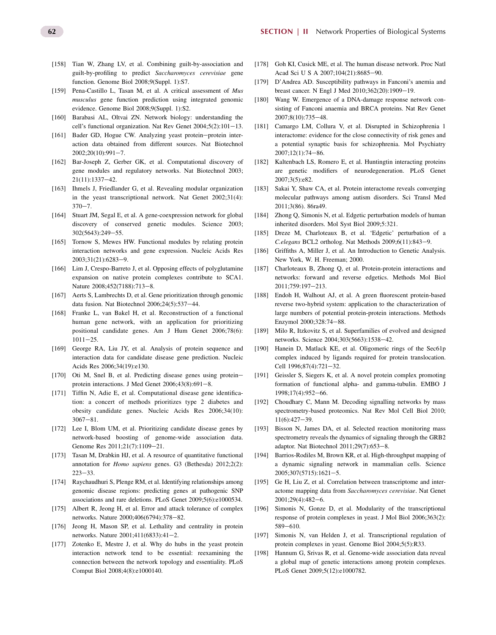- <span id="page-17-0"></span>[158] Tian W, Zhang LV, et al. Combining guilt-by-association and guilt-by-profiling to predict Saccharomyces cerevisiae gene function. Genome Biol 2008;9(Suppl. 1):S7.
- [159] Pena-Castillo L, Tasan M, et al. A critical assessment of Mus musculus gene function prediction using integrated genomic evidence. Genome Biol 2008;9(Suppl. 1):S2.
- [160] Barabasi AL, Oltvai ZN. Network biology: understanding the cell's functional organization. Nat Rev Genet  $2004;5(2):101-13$ .
- [161] Bader GD, Hogue CW. Analyzing yeast protein-protein interaction data obtained from different sources. Nat Biotechnol  $2002;20(10):991-7.$
- [162] Bar-Joseph Z, Gerber GK, et al. Computational discovery of gene modules and regulatory networks. Nat Biotechnol 2003;  $21(11):1337-42.$
- [163] Ihmels J, Friedlander G, et al. Revealing modular organization in the yeast transcriptional network. Nat Genet 2002;31(4):  $370 - 7$ .
- [164] Stuart JM, Segal E, et al. A gene-coexpression network for global discovery of conserved genetic modules. Science 2003; 302(5643):249-55.
- [165] Tornow S, Mewes HW. Functional modules by relating protein interaction networks and gene expression. Nucleic Acids Res 2003;31(21):6283-9.
- [166] Lim J, Crespo-Barreto J, et al. Opposing effects of polyglutamine expansion on native protein complexes contribute to SCA1. Nature 2008;452(7188):713-8.
- [167] Aerts S, Lambrechts D, et al. Gene prioritization through genomic data fusion. Nat Biotechnol  $2006;24(5):537-44$ .
- [168] Franke L, van Bakel H, et al. Reconstruction of a functional human gene network, with an application for prioritizing positional candidate genes. Am J Hum Genet 2006;78(6):  $1011 - 25$ .
- [169] George RA, Liu JY, et al. Analysis of protein sequence and interaction data for candidate disease gene prediction. Nucleic Acids Res 2006;34(19):e130.
- [170] Oti M, Snel B, et al. Predicting disease genes using proteinprotein interactions. J Med Genet  $2006;43(8):691-8$ .
- [171] Tiffin N, Adie E, et al. Computational disease gene identification: a concert of methods prioritizes type 2 diabetes and obesity candidate genes. Nucleic Acids Res 2006;34(10):  $3067 - 81$ .
- [172] Lee I, Blom UM, et al. Prioritizing candidate disease genes by network-based boosting of genome-wide association data. Genome Res 2011;21(7):1109-21.
- [173] Tasan M, Drabkin HJ, et al. A resource of quantitative functional annotation for Homo sapiens genes. G3 (Bethesda) 2012;2(2):  $223 - 33$ .
- [174] Raychaudhuri S, Plenge RM, et al. Identifying relationships among genomic disease regions: predicting genes at pathogenic SNP associations and rare deletions. PLoS Genet 2009;5(6):e1000534.
- [175] Albert R, Jeong H, et al. Error and attack tolerance of complex networks. Nature 2000;406(6794):378-82.
- [176] Jeong H, Mason SP, et al. Lethality and centrality in protein networks. Nature 2001;411(6833):41-2.
- [177] Zotenko E, Mestre J, et al. Why do hubs in the yeast protein interaction network tend to be essential: reexamining the connection between the network topology and essentiality. PLoS Comput Biol 2008;4(8):e1000140.
- [178] Goh KI, Cusick ME, et al. The human disease network. Proc Natl Acad Sci U S A 2007;104(21):8685-90.
- [179] D'Andrea AD. Susceptibility pathways in Fanconi's anemia and breast cancer. N Engl J Med 2010;362(20):1909-19.
- [180] Wang W. Emergence of a DNA-damage response network consisting of Fanconi anaemia and BRCA proteins. Nat Rev Genet  $2007:8(10):735-48.$
- [181] Camargo LM, Collura V, et al. Disrupted in Schizophrenia 1 interactome: evidence for the close connectivity of risk genes and a potential synaptic basis for schizophrenia. Mol Psychiatry  $2007:12(1):74-86$ .
- [182] Kaltenbach LS, Romero E, et al. Huntingtin interacting proteins are genetic modifiers of neurodegeneration. PLoS Genet 2007;3(5):e82.
- [183] Sakai Y, Shaw CA, et al. Protein interactome reveals converging molecular pathways among autism disorders. Sci Transl Med 2011;3(86). 86ra49.
- [184] Zhong Q, Simonis N, et al. Edgetic perturbation models of human inherited disorders. Mol Syst Biol 2009;5:321.
- [185] Dreze M, Charloteaux B, et al. 'Edgetic' perturbation of a  $C. elegans$  BCL2 ortholog. Nat Methods  $2009;6(11):843-9$ .
- [186] Griffiths A, Miller J, et al. An Introduction to Genetic Analysis. New York, W. H. Freeman; 2000.
- [187] Charloteaux B, Zhong Q, et al. Protein-protein interactions and networks: forward and reverse edgetics. Methods Mol Biol 2011:759:197-213.
- [188] Endoh H, Walhout AJ, et al. A green fluorescent protein-based reverse two-hybrid system: application to the characterization of large numbers of potential protein-protein interactions. Methods Enzymol 2000;328:74-88.
- [189] Milo R, Itzkovitz S, et al. Superfamilies of evolved and designed networks. Science 2004;303(5663):1538-42.
- [190] Hanein D, Matlack KE, et al. Oligomeric rings of the Sec61p complex induced by ligands required for protein translocation. Cell 1996;87(4):721-32.
- [191] Geissler S, Siegers K, et al. A novel protein complex promoting formation of functional alpha- and gamma-tubulin. EMBO J 1998;17(4):952-66.
- [192] Choudhary C, Mann M. Decoding signalling networks by mass spectrometry-based proteomics. Nat Rev Mol Cell Biol 2010;  $11(6):427-39.$
- [193] Bisson N, James DA, et al. Selected reaction monitoring mass spectrometry reveals the dynamics of signaling through the GRB2 adaptor. Nat Biotechnol 2011;29(7):653-8.
- [194] Barrios-Rodiles M, Brown KR, et al. High-throughput mapping of a dynamic signaling network in mammalian cells. Science 2005;307(5715):1621e5.
- [195] Ge H, Liu Z, et al. Correlation between transcriptome and interactome mapping data from Saccharomyces cerevisiae. Nat Genet 2001;29(4):482-6.
- [196] Simonis N, Gonze D, et al. Modularity of the transcriptional response of protein complexes in yeast. J Mol Biol 2006;363(2): 589-610.
- [197] Simonis N, van Helden J, et al. Transcriptional regulation of protein complexes in yeast. Genome Biol 2004;5(5):R33.
- [198] Hannum G, Srivas R, et al. Genome-wide association data reveal a global map of genetic interactions among protein complexes. PLoS Genet 2009;5(12):e1000782.